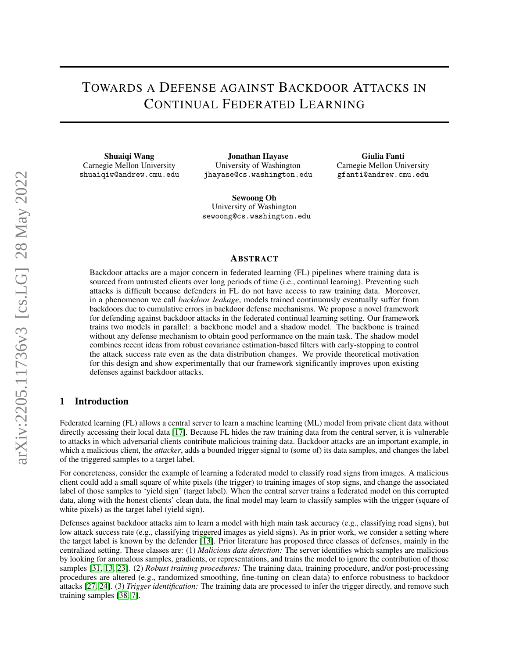# TOWARDS A DEFENSE AGAINST BACKDOOR ATTACKS IN CONTINUAL FEDERATED LEARNING

Shuaiqi Wang Carnegie Mellon University shuaiqiw@andrew.cmu.edu

Jonathan Hayase University of Washington jhayase@cs.washington.edu

Sewoong Oh University of Washington sewoong@cs.washington.edu

Giulia Fanti Carnegie Mellon University gfanti@andrew.cmu.edu

# ABSTRACT

Backdoor attacks are a major concern in federated learning (FL) pipelines where training data is sourced from untrusted clients over long periods of time (i.e., continual learning). Preventing such attacks is difficult because defenders in FL do not have access to raw training data. Moreover, in a phenomenon we call *backdoor leakage*, models trained continuously eventually suffer from backdoors due to cumulative errors in backdoor defense mechanisms. We propose a novel framework for defending against backdoor attacks in the federated continual learning setting. Our framework trains two models in parallel: a backbone model and a shadow model. The backbone is trained without any defense mechanism to obtain good performance on the main task. The shadow model combines recent ideas from robust covariance estimation-based filters with early-stopping to control the attack success rate even as the data distribution changes. We provide theoretical motivation for this design and show experimentally that our framework significantly improves upon existing defenses against backdoor attacks.

# 1 Introduction

Federated learning (FL) allows a central server to learn a machine learning (ML) model from private client data without directly accessing their local data [\[17\]](#page-9-0). Because FL hides the raw training data from the central server, it is vulnerable to attacks in which adversarial clients contribute malicious training data. Backdoor attacks are an important example, in which a malicious client, the *attacker*, adds a bounded trigger signal to (some of) its data samples, and changes the label of the triggered samples to a target label.

For concreteness, consider the example of learning a federated model to classify road signs from images. A malicious client could add a small square of white pixels (the trigger) to training images of stop signs, and change the associated label of those samples to 'yield sign' (target label). When the central server trains a federated model on this corrupted data, along with the honest clients' clean data, the final model may learn to classify samples with the trigger (square of white pixels) as the target label (yield sign).

Defenses against backdoor attacks aim to learn a model with high main task accuracy (e.g., classifying road signs), but low attack success rate (e.g., classifying triggered images as yield signs). As in prior work, we consider a setting where the target label is known by the defender [\[13\]](#page-9-1). Prior literature has proposed three classes of defenses, mainly in the centralized setting. These classes are: (1) *Malicious data detection:* The server identifies which samples are malicious by looking for anomalous samples, gradients, or representations, and trains the model to ignore the contribution of those samples [\[31,](#page-9-2) [13,](#page-9-1) [23\]](#page-9-3). (2) *Robust training procedures:* The training data, training procedure, and/or post-processing procedures are altered (e.g., randomized smoothing, fine-tuning on clean data) to enforce robustness to backdoor attacks [\[27,](#page-9-4) [24\]](#page-9-5). (3) *Trigger identification:* The training data are processed to infer the trigger directly, and remove such training samples [\[38,](#page-10-0) [7\]](#page-8-0).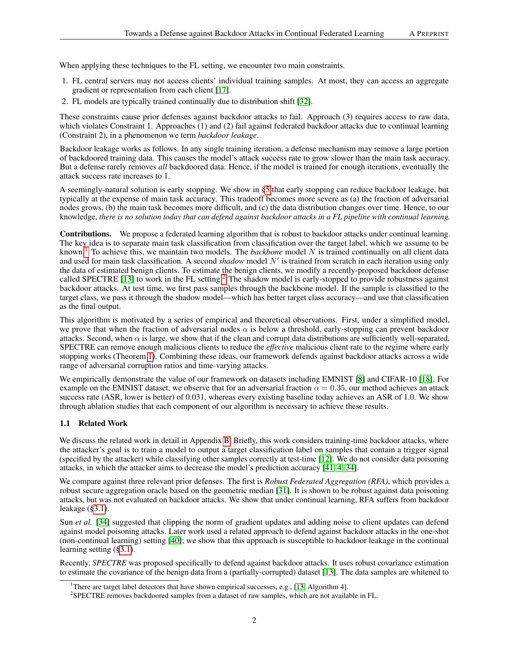When applying these techniques to the FL setting, we encounter two main constraints.

- 1. FL central servers may not access clients' individual training samples. At most, they can access an aggregate gradient or representation from each client [\[17\]](#page-9-0).
- 2. FL models are typically trained continually due to distribution shift [\[32\]](#page-10-1).

These constraints cause prior defenses against backdoor attacks to fail. Approach (3) requires access to raw data, which violates Constraint 1. Approaches (1) and (2) fail against federated backdoor attacks due to continual learning (Constraint 2), in a phenomenon we term *backdoor leakage*.

Backdoor leakage works as follows. In any single training iteration, a defense mechanism may remove a large portion of backdoored training data. This causes the model's attack success rate to grow slower than the main task accuracy. But a defense rarely removes *all* backdoored data. Hence, if the model is trained for enough iterations, eventually the attack success rate increases to 1.

A seemingly-natural solution is early stopping. We show in [§5](#page-6-0) that early stopping can reduce backdoor leakage, but typically at the expense of main task accuracy. This tradeoff becomes more severe as (a) the fraction of adversarial nodes grows, (b) the main task becomes more difficult, and (c) the data distribution changes over time. Hence, to our knowledge, *there is no solution today that can defend against backdoor attacks in a FL pipeline with continual learning.*

Contributions. We propose a federated learning algorithm that is robust to backdoor attacks under continual learning. The key idea is to separate main task classification from classification over the target label, which we assume to be known.[1](#page-1-0) To achieve this, we maintain two models. The *backbone* model N is trained continually on all client data and used for main task classification. A second  $shadow$  model  $N'$  is trained from scratch in each iteration using only the data of estimated benign clients. To estimate the benign clients, we modify a recently-proposed backdoor defense called SPECTRE [\[13\]](#page-9-1) to work in the FL setting.<sup>[2](#page-1-1)</sup> The shadow model is early-stopped to provide robustness against backdoor attacks. At test time, we first pass samples through the backbone model. If the sample is classified to the target class, we pass it through the shadow model—which has better target class accuracy—and use that classification as the final output.

This algorithm is motivated by a series of empirical and theoretical observations. First, under a simplified model, we prove that when the fraction of adversarial nodes  $\alpha$  is below a threshold, early-stopping can prevent backdoor attacks. Second, when  $\alpha$  is large, we show that if the clean and corrupt data distributions are sufficiently well-separated, SPECTRE can remove enough malicious clients to reduce the *effective* malicious client rate to the regime where early stopping works (Theorem [1\)](#page-5-0). Combining these ideas, our framework defends against backdoor attacks across a wide range of adversarial corruption ratios and time-varying attacks.

We empirically demonstrate the value of our framework on datasets including EMNIST [\[8\]](#page-8-1) and CIFAR-10 [\[18\]](#page-9-6). For example on the EMNIST dataset, we observe that for an adversarial fraction  $\alpha = 0.35$ , our method achieves an attack success rate (ASR, lower is better) of 0.031, whereas every existing baseline today achieves an ASR of 1.0. We show through ablation studies that each component of our algorithm is necessary to achieve these results.

# 1.1 Related Work

We discuss the related work in detail in Appendix [B.](#page-10-2) Briefly, this work considers training-time backdoor attacks, where the attacker's goal is to train a model to output a target classification label on samples that contain a trigger signal (specified by the attacker) while classifying other samples correctly at test-time [\[12\]](#page-9-7). We do not consider data poisoning attacks, in which the attacker aims to decrease the model's prediction accuracy [\[41,](#page-10-3) [4,](#page-8-2) [34\]](#page-10-4).

We compare against three relevant prior defenses. The first is *Robust Federated Aggregation (RFA)*, which provides a robust secure aggregation oracle based on the geometric median [\[31\]](#page-9-2). It is shown to be robust against data poisoning attacks, but was not evaluated on backdoor attacks. We show that under continual learning, RFA suffers from backdoor leakage ([§3.1\)](#page-2-0).

Sun *et al.* [\[34\]](#page-10-4) suggested that clipping the norm of gradient updates and adding noise to client updates can defend against model poisoning attacks. Later work used a related approach to defend against backdoor attacks in the one-shot (non-continual learning) setting [\[40\]](#page-10-5); we show that this approach is susceptible to backdoor leakage in the continual learning setting ([§3.1\)](#page-2-0).

Recently, *SPECTRE* was proposed specifically to defend against backdoor attacks. It uses robust covariance estimation to estimate the covariance of the benign data from a (partially-corrupted) dataset [\[13\]](#page-9-1). The data samples are whitened to

<span id="page-1-0"></span><sup>&</sup>lt;sup>1</sup>There are target label detectors that have shown empirical successes, e.g., [\[13,](#page-9-1) Algorithm 4].

<span id="page-1-1"></span><sup>&</sup>lt;sup>2</sup>SPECTRE removes backdoored samples from a dataset of raw samples, which are not available in FL.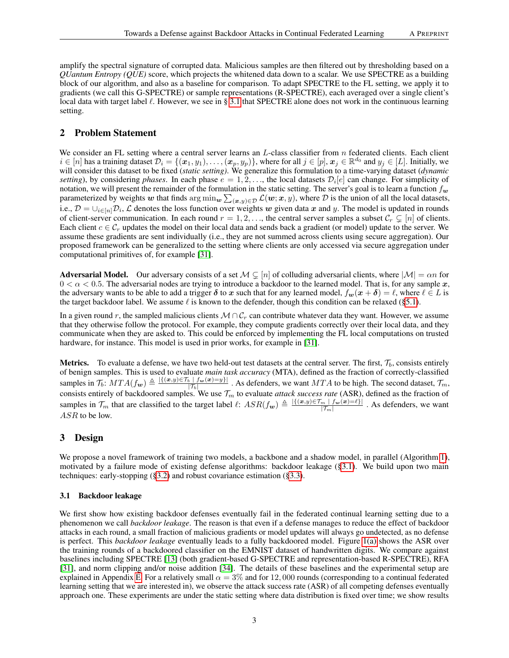amplify the spectral signature of corrupted data. Malicious samples are then filtered out by thresholding based on a *QUantum Entropy (QUE)* score, which projects the whitened data down to a scalar. We use SPECTRE as a building block of our algorithm, and also as a baseline for comparison. To adapt SPECTRE to the FL setting, we apply it to gradients (we call this G-SPECTRE) or sample representations (R-SPECTRE), each averaged over a single client's local data with target label  $\ell$ . However, we see in § [3.1](#page-2-0) that SPECTRE alone does not work in the continuous learning setting.

# 2 Problem Statement

We consider an FL setting where a central server learns an  $L$ -class classifier from  $n$  federated clients. Each client  $i \in [n]$  has a training dataset  $\mathcal{D}_i = \{(\boldsymbol{x}_1, y_1), \dots, (\boldsymbol{x}_p, y_p)\}\$ , where for all  $j \in [p]$ ,  $\boldsymbol{x}_j \in \mathbb{R}^{d_0}$  and  $y_j \in [L]$ . Initially, we will consider this dataset to be fixed (*static setting)*. We generalize this formulation to a time-varying dataset (*dynamic* setting), by considering *phases*. In each phase  $e = 1, 2, \ldots$ , the local datasets  $\mathcal{D}_i[e]$  can change. For simplicity of notation, we will present the remainder of the formulation in the static setting. The server's goal is to learn a function  $f_w$ parameterized by weights w that finds  $\arg\min_{w}\sum_{(x,y)\in\mathcal{D}}\mathcal{L}(w;x,y)$ , where  $\mathcal D$  is the union of all the local datasets, i.e.,  $D = \bigcup_{i \in [n]} D_i$ ,  $\mathcal L$  denotes the loss function over weights w given data x and y. The model is updated in rounds of client-server communication. In each round  $r = 1, 2, \ldots$ , the central server samples a subset  $\mathcal{C}_r \subsetneq [n]$  of clients. Each client  $c \in C_r$  updates the model on their local data and sends back a gradient (or model) update to the server. We assume these gradients are sent individually (i.e., they are not summed across clients using secure aggregation). Our proposed framework can be generalized to the setting where clients are only accessed via secure aggregation under computational primitives of, for example [\[31\]](#page-9-2).

Adversarial Model. Our adversary consists of a set  $M \subsetneq [n]$  of colluding adversarial clients, where  $|M| = \alpha n$  for  $0 < \alpha < 0.5$ . The adversarial nodes are trying to introduce a backdoor to the learned model. That is, for any sample x, the adversary wants to be able to add a trigger  $\delta$  to x such that for any learned model,  $f_w(x + \delta) = \ell$ , where  $\ell \in L$  is the target backdoor label. We assume  $\ell$  is known to the defender, though this condition can be relaxed ([§5.1\)](#page-6-1).

In a given round r, the sampled malicious clients  $M \cap C_r$  can contribute whatever data they want. However, we assume that they otherwise follow the protocol. For example, they compute gradients correctly over their local data, and they communicate when they are asked to. This could be enforced by implementing the FL local computations on trusted hardware, for instance. This model is used in prior works, for example in [\[31\]](#page-9-2).

**Metrics.** To evaluate a defense, we have two held-out test datasets at the central server. The first,  $\mathcal{T}_b$ , consists entirely of benign samples. This is used to evaluate *main task accuracy* (MTA), defined as the fraction of correctly-classified samples in  $\mathcal{T}_b$ :  $MTA(f_w) \triangleq \frac{|\{(x,y)\in \mathcal{T}_b \mid f_w(x)=y\}|}{|\mathcal{T}_b|}$  $\frac{|f_{\psi}(x)-f_{\psi}|}{|f_{b}|}$ . As defenders, we want  $MTA$  to be high. The second dataset,  $\mathcal{T}_{m}$ , consists entirely of backdoored samples. We use  $\mathcal{T}_m$  to evaluate *attack success rate* (ASR), defined as the fraction of samples in  $\mathcal{T}_m$  that are classified to the target label  $\ell: ASR(f_w) \triangleq \frac{|\{(x,y)\in \mathcal{T}_m \mid f_w(x)=\ell\}|}{|\mathcal{T}_m|}$  $\frac{m \mid f_{\bm{w}}(\bm{x}) = \ell}{|T_m|}$ . As defenders, we want ASR to be low.

# 3 Design

We propose a novel framework of training two models, a backbone and a shadow model, in parallel (Algorithm [1\)](#page-5-1), motivated by a failure mode of existing defense algorithms: backdoor leakage ([§3.1\)](#page-2-0). We build upon two main techniques: early-stopping ([§3.2\)](#page-3-0) and robust covariance estimation ([§3.3\)](#page-3-1).

# <span id="page-2-0"></span>3.1 Backdoor leakage

We first show how existing backdoor defenses eventually fail in the federated continual learning setting due to a phenomenon we call *backdoor leakage*. The reason is that even if a defense manages to reduce the effect of backdoor attacks in each round, a small fraction of malicious gradients or model updates will always go undetected, as no defense is perfect. This *backdoor leakage* eventually leads to a fully backdoored model. Figure [1\(a\)](#page-3-2) shows the ASR over the training rounds of a backdoored classifier on the EMNIST dataset of handwritten digits. We compare against baselines including SPECTRE [\[13\]](#page-9-1) (both gradient-based G-SPECTRE and representation-based R-SPECTRE), RFA [\[31\]](#page-9-2), and norm clipping and/or noise addition [\[34\]](#page-10-4). The details of these baselines and the experimental setup are explained in Appendix [E.](#page-14-0) For a relatively small  $\alpha = 3\%$  and for 12,000 rounds (corresponding to a continual federated learning setting that we are interested in), we observe the attack success rate (ASR) of all competing defenses eventually approach one. These experiments are under the static setting where data distribution is fixed over time; we show results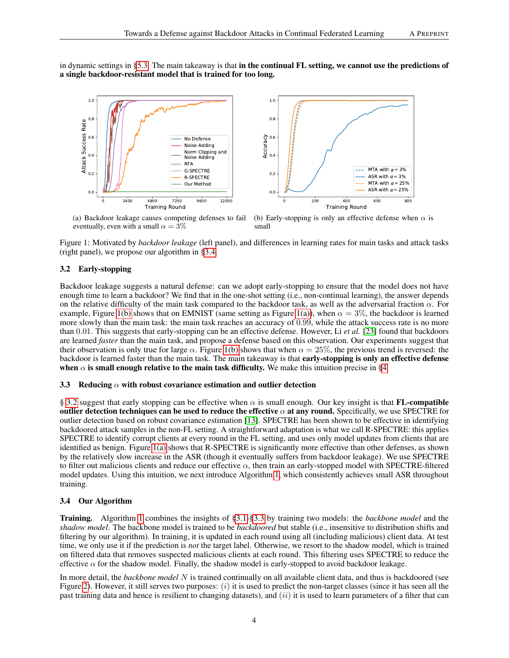<span id="page-3-2"></span>in dynamic settings in [§5.3.](#page-7-0) The main takeaway is that in the continual FL setting, we cannot use the predictions of a single backdoor-resistant model that is trained for too long.





(a) Backdoor leakage causes competing defenses to fail eventually, even with a small  $\alpha = 3\%$ 

<span id="page-3-4"></span>(b) Early-stopping is only an effective defense when  $\alpha$  is small

Figure 1: Motivated by *backdoor leakage* (left panel), and differences in learning rates for main tasks and attack tasks (right panel), we propose our algorithm in [§3.4.](#page-3-3)

# <span id="page-3-0"></span>3.2 Early-stopping

Backdoor leakage suggests a natural defense: can we adopt early-stopping to ensure that the model does not have enough time to learn a backdoor? We find that in the one-shot setting (i.e., non-continual learning), the answer depends on the relative difficulty of the main task compared to the backdoor task, as well as the adversarial fraction  $\alpha$ . For example, Figure [1\(b\)](#page-3-4) shows that on EMNIST (same setting as Figure [1\(a\)\)](#page-3-2), when  $\alpha = 3\%$ , the backdoor is learned more slowly than the main task: the main task reaches an accuracy of 0.99, while the attack success rate is no more than 0.01. This suggests that early-stopping can be an effective defense. However, Li *et al.* [\[23\]](#page-9-3) found that backdoors are learned *faster* than the main task, and propose a defense based on this observation. Our experiments suggest that their observation is only true for large  $\alpha$ . Figure [1\(b\)](#page-3-4) shows that when  $\alpha = 25\%$ , the previous trend is reversed: the backdoor is learned faster than the main task. The main takeaway is that early-stopping is only an effective defense when  $\alpha$  is small enough relative to the main task difficulty. We make this intuition precise in [§4.](#page-4-0)

## <span id="page-3-1"></span>3.3 Reducing  $\alpha$  with robust covariance estimation and outlier detection

§ [3.2](#page-3-0) suggest that early stopping can be effective when  $\alpha$  is small enough. Our key insight is that **FL-compatible** outlier detection techniques can be used to reduce the effective  $\alpha$  at any round. Specifically, we use SPECTRE for outlier detection based on robust covariance estimation [\[13\]](#page-9-1). SPECTRE has been shown to be effective in identifying backdoored attack samples in the non-FL setting. A straightforward adaptation is what we call R-SPECTRE: this applies SPECTRE to identify corrupt clients at every round in the FL setting, and uses only model updates from clients that are identified as benign. Figure [1\(a\)](#page-3-2) shows that R-SPECTRE is significantly more effective than other defenses, as shown by the relatively slow increase in the ASR (though it eventually suffers from backdoor leakage). We use SPECTRE to filter out malicious clients and reduce our effective  $\alpha$ , then train an early-stopped model with SPECTRE-filtered model updates. Using this intuition, we next introduce Algorithm [1,](#page-5-1) which consistently achieves small ASR throughout training.

## <span id="page-3-3"></span>3.4 Our Algorithm

Training. Algorithm [1](#page-4-0) combines the insights of [§3.1-](#page-2-0)[§3.3](#page-3-1) by training two models: the *backbone model* and the *shadow model*. The backbone model is trained to be *backdoored* but stable (i.e., insensitive to distribution shifts and filtering by our algorithm). In training, it is updated in each round using all (including malicious) client data. At test time, we only use it if the prediction is *not* the target label. Otherwise, we resort to the shadow model, which is trained on filtered data that removes suspected malicious clients at each round. This filtering uses SPECTRE to reduce the effective  $\alpha$  for the shadow model. Finally, the shadow model is early-stopped to avoid backdoor leakage.

In more detail, the *backbone model* N is trained continually on all available client data, and thus is backdoored (see Figure [2\)](#page-4-1). However, it still serves two purposes:  $(i)$  it is used to predict the non-target classes (since it has seen all the past training data and hence is resilient to changing datasets), and  $(ii)$  it is used to learn parameters of a filter that can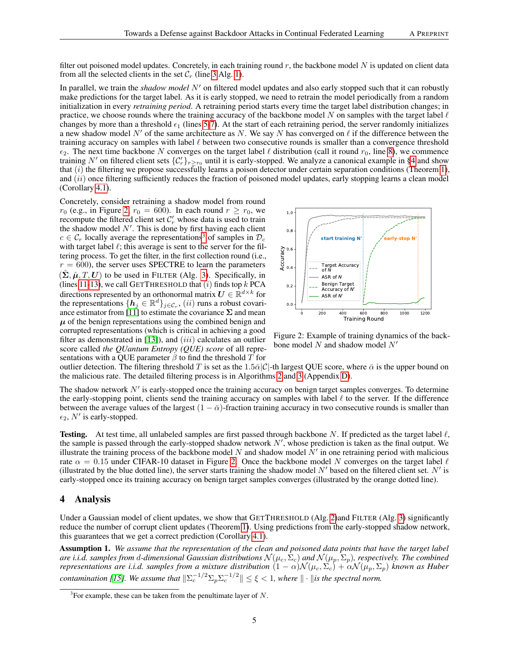filter out poisoned model updates. Concretely, in each training round r, the backbone model N is updated on client data from all the selected clients in the set  $\mathcal{C}_r$  (line [3](#page-5-2) Alg. [1\)](#page-5-1).

In parallel, we train the *shadow model* N' on filtered model updates and also early stopped such that it can robustly make predictions for the target label. As it is early stopped, we need to retrain the model periodically from a random initialization in every *retraining period*. A retraining period starts every time the target label distribution changes; in practice, we choose rounds where the training accuracy of the backbone model N on samples with the target label  $\ell$ changes by more than a threshold  $\epsilon_1$  (lines [5](#page-5-3)[-7\)](#page-5-4). At the start of each retraining period, the server randomly initializes a new shadow model N' of the same architecture as N. We say N has converged on  $\ell$  if the difference between the training accuracy on samples with label  $\ell$  between two consecutive rounds is smaller than a convergence threshold  $\epsilon_2$ . The next time backbone N converges on the target label  $\ell$  distribution (call it round  $r_0$ , line [8\)](#page-5-5), we commence training N' on filtered client sets  ${C'_r}_{r \ge r_0}$  until it is early-stopped. We analyze a canonical example in [§4](#page-4-0) and show that  $(i)$  the filtering we propose successfully learns a poison detector under certain separation conditions (Theorem [1\)](#page-5-0), and  $(ii)$  once filtering sufficiently reduces the fraction of poisoned model updates, early stopping learns a clean model (Corollary [4.1\)](#page-6-2).

Concretely, consider retraining a shadow model from round  $r_0$  (e.g., in Figure [2,](#page-4-1)  $r_0 = 600$ ). In each round  $r \ge r_0$ , we recompute the filtered client set  $C'_r$  whose data is used to train the shadow model  $N'$ . This is done by first having each client  $c \in \mathcal{C}_r$  locally average the representations<sup>[3](#page-4-2)</sup> of samples in  $\mathcal{D}_c$ with target label  $\ell$ ; this average is sent to the server for the filtering process. To get the filter, in the first collection round (i.e.,  $r = 600$ , the server uses SPECTRE to learn the parameters  $(\hat{\Sigma}, \hat{\mu}, T, U)$  to be used in FILTER (Alg. [3\)](#page-14-1). Specifically, in (lines [11](#page-5-6)[-13\)](#page-5-7), we call GETTHRESHOLD that  $(i)$  finds top  $k$  PCA directions represented by an orthonormal matrix  $U \in \mathbb{R}^{d \times k}$  for the representations  $\{\boldsymbol{h}_j \in \mathbb{R}^d\}_{j \in \mathcal{C}_r}$ ,  $(ii)$  runs a robust covari-ance estimator from [\[11\]](#page-9-8) to estimate the covariance  $\Sigma$  and mean  $\mu$  of the benign representations using the combined benign and corrupted representations (which is critical in achieving a good filter as demonstrated in  $[13]$ ), and  $(iii)$  calculates an outlier score called *the QUantum Entropy (QUE) score* of all representations with a OUE parameter  $\beta$  to find the threshold T for



<span id="page-4-1"></span>Figure 2: Example of training dynamics of the backbone model  $N$  and shadow model  $N'$ 

outlier detection. The filtering threshold T is set as the 1.5 $\bar{\alpha}$ |C|-th largest QUE score, where  $\bar{\alpha}$  is the upper bound on the malicious rate. The detailed filtering process is in Algorithms [2](#page-14-2) and [3](#page-14-1) (Appendix [D\)](#page-13-0).

The shadow network  $N'$  is early-stopped once the training accuracy on benign target samples converges. To determine the early-stopping point, clients send the training accuracy on samples with label  $\ell$  to the server. If the difference between the average values of the largest  $(1 - \bar{\alpha})$ -fraction training accuracy in two consecutive rounds is smaller than  $\epsilon_2$ , N' is early-stopped.

**Testing.** At test time, all unlabeled samples are first passed through backbone N. If predicted as the target label  $\ell$ , the sample is passed through the early-stopped shadow network  $N'$ , whose prediction is taken as the final output. We illustrate the training process of the backbone model N and shadow model  $N'$  in one retraining period with malicious rate  $\alpha = 0.15$  under CIFAR-10 dataset in Figure [2.](#page-4-1) Once the backbone model N converges on the target label  $\ell$ (illustrated by the blue dotted line), the server starts training the shadow model  $N'$  based on the filtered client set.  $N'$  is early-stopped once its training accuracy on benign target samples converges (illustrated by the orange dotted line).

## <span id="page-4-0"></span>4 Analysis

Under a Gaussian model of client updates, we show that GETTHRESHOLD (Alg. [2\)](#page-14-2)and FILTER (Alg. [3\)](#page-14-1) significantly reduce the number of corrupt client updates (Theorem [1\)](#page-5-0). Using predictions from the early-stopped shadow network, this guarantees that we get a correct prediction (Corollary [4.1\)](#page-6-2).

<span id="page-4-3"></span>Assumption 1. *We assume that the representation of the clean and poisoned data points that have the target label are i.i.d. samples from d-dimensional Gaussian distributions*  $N(\mu_c, \bar{\Sigma}_c)$  *and*  $N(\mu_p, \bar{\Sigma}_p)$ *, respectively. The combined representations are i.i.d. samples from a mixture distribution*  $(1 - \alpha) \mathcal{N}(\mu_c, \Sigma_c) + \alpha \mathcal{N}(\mu_p, \Sigma_p)$  *known as Huber contamination [\[15\]](#page-9-9). We assume that*  $\|\Sigma_c^{-1/2}\Sigma_p\Sigma_c^{-1/2}\| \leq \xi < 1$ , where  $\|\cdot\|$  *is the spectral norm.* 

<span id="page-4-2"></span> $3$ For example, these can be taken from the penultimate layer of N.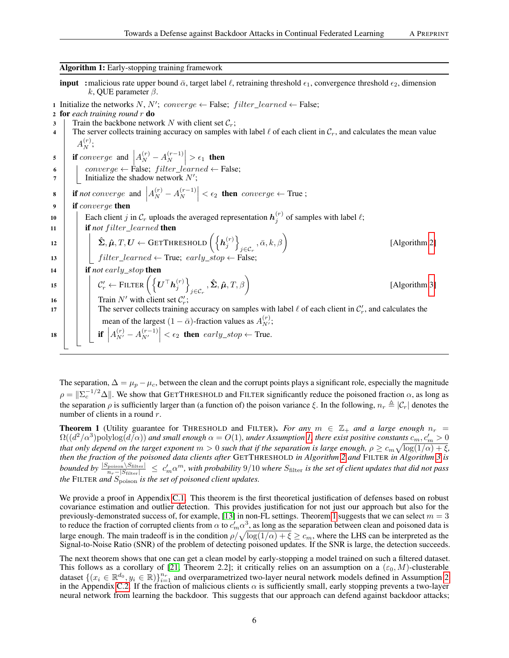Algorithm 1: Early-stopping training framework

<span id="page-5-1"></span>**input** : malicious rate upper bound  $\bar{\alpha}$ , target label  $\ell$ , retraining threshold  $\epsilon_1$ , convergence threshold  $\epsilon_2$ , dimension k, QUE parameter  $\beta$ .

1 Initialize the networks N, N'; converge  $\leftarrow$  False; filter\_learned  $\leftarrow$  False;

- <span id="page-5-2"></span>3 Train the backbone network N with client set  $\mathcal{C}_r$ ;
- 4 The server collects training accuracy on samples with label  $\ell$  of each client in  $\mathcal{C}_r$ , and calculates the mean value  $A_N^{(r)};$

<span id="page-5-7"></span><span id="page-5-6"></span><span id="page-5-5"></span><span id="page-5-4"></span><span id="page-5-3"></span>5 if converge and  $A_N^{(r)} - A_N^{(r-1)}$ 6 converge ← False;  $filter\_learned \leftarrow$  False;  $\begin{vmatrix} (r-1) \\ N \end{vmatrix} > \epsilon_1$  then  $7 \mid$  Initialize the shadow network  $N'$ ; 8 if *not* converge and  $A_N^{(r)} - A_N^{(r-1)}$  $\begin{vmatrix} (r-1) \\ N \end{vmatrix} < \epsilon_2$  then converge  $\leftarrow$  True; 9 **if** converge then 10 **Each client** j in  $\mathcal{C}_r$  uploads the averaged representation  $h_j^{(r)}$  of samples with label  $\ell$ ;  $\begin{array}{|c|c|c|c|c|}\n\hline\n\textbf{11} & \textbf{12} & \textbf{if } \textbf{not } \textbf{filter} & \textbf{learned } \textbf{then} \\
\hline\n\end{array}$  $\begin{equation} \mathbf{12} \end{equation} \begin{equation} \left[ \begin{array}{c} \hat{\mathbf{\Sigma}}, \hat{\boldsymbol{\mu}}, T, \boldsymbol{U} \leftarrow {\rm GETTHRESHOLD}\left(\left\{ \boldsymbol{h}^{(r)}_j\right\} \right) \end{array} \right] \end{equation}$  $_{j\in\mathcal{C}_{r}}$ ,  $\bar{\alpha},k,\beta\bigg)$ [Algorithm [2\]](#page-14-2) 13  $\parallel$  filter\_learned  $\leftarrow$  True; early\_stop  $\leftarrow$  False; <sup>14</sup> if *not* early*\_*stop then 15  $\left|\left|\right| \left|\right| \mathcal{C}_r' \leftarrow \text{Filter}\left(\left\{ \boldsymbol{U}^\top \boldsymbol{h}_j^{(r)} \right\} \right)$  $_{j\in\mathcal{C}_{r}}\,,\mathbf{\hat{\Sigma}},\mathbf{\hat{\mu}},T,\beta\bigg)$ [Algorithm [3\]](#page-14-1) 16  $\Box$  Train N' with client set  $\mathcal{C}'_r$ ; 17 The server collects training accuracy on samples with label  $\ell$  of each client in  $\mathcal{C}_r'$ , and calculates the mean of the largest  $(1 - \bar{\alpha})$ -fraction values as  $A_{N'}^{(r)}$ ; 18  $\left|\int\right| \left| \int A_{N'}^{(r)} - A_{N'}^{(r-1)} \right| < \epsilon_2$  then  $early\_stop \leftarrow$  True.

<span id="page-5-8"></span>The separation,  $\Delta = \mu_p - \mu_c$ , between the clean and the corrupt points plays a significant role, especially the magnitude  $\rho = \|\Sigma_c^{-1/2}\Delta\|$ . We show that GETTHRESHOLD and FILTER significantly reduce the poisoned fraction  $\alpha$ , as long as the separation  $\rho$  is sufficiently larger than (a function of) the poison variance  $\xi$ . In the following,  $n_r \triangleq |C_r|$  denotes the number of clients in a round r.

<span id="page-5-0"></span>**Theorem 1** (Utility guarantee for THRESHOLD and FILTER). *For any*  $m \in \mathbb{Z}_+$  *and a large enough*  $n_r =$  $\Omega((d^2/\alpha^3)$ polylog $(d/\alpha))$  and small enough  $\alpha=O(1)$ , under Assumption [1,](#page-4-3) there exist positive constants  $c_m, c_m'>0$ *that only depend on the target exponent*  $m>0$  such that if the separation is large enough,  $\rho\geq c_m\sqrt{\log(1/\alpha)+\xi}$ , *then the fraction of the poisoned data clients after* GETTHRESHOLD *in Algorithm [2](#page-14-2) and* FILTER *in Algorithm [3](#page-14-1) is*  $bounded \ by \ \frac{|S_{\rm{poison}}\setminus S_{\rm{filter}}|}{n_r-|S_{\rm{filter}}|} \ \le \ c_m' \alpha^m$ , with probability 9/10 where  $S_{\rm{filter}}$  is the set of client updates that did not pass *the* FILTER *and* Spoison *is the set of poisoned client updates.*

We provide a proof in Appendix [C.1.](#page-11-0) This theorem is the first theoretical justification of defenses based on robust covariance estimation and outlier detection. This provides justification for not just our approach but also for the previously-demonstrated success of, for example, [\[13\]](#page-9-1) in non-FL settings. Theorem [1](#page-5-0) suggests that we can select  $m = 3$ to reduce the fraction of corrupted clients from  $\alpha$  to  $c_m^j \alpha^3$ , as long as the separation between clean and poisoned data is large enough. The main tradeoff is in the condition  $\rho/\sqrt{\log(1/\alpha) + \xi} \geq c_m$ , where the LHS can be interpreted as the Signal-to-Noise Ratio (SNR) of the problem of detecting poisoned updates. If the SNR is large, the detection succeeds.

The next theorem shows that one can get a clean model by early-stopping a model trained on such a filtered dataset. This follows as a corollary of [\[21,](#page-9-10) Theorem 2.2]; it critically relies on an assumption on a  $(\varepsilon_0, M)$ -clusterable dataset  $\{(x_i \in \mathbb{R}^{d_0}, y_i \in \mathbb{R})\}_{i=1}^{n_r}$  and overparametrized two-layer neural network models defined in Assumption [2](#page-13-1) in the Appendix [C.2.](#page-13-2) If the fraction of malicious clients  $\alpha$  is sufficiently small, early stopping prevents a two-layer neural network from learning the backdoor. This suggests that our approach can defend against backdoor attacks;

<sup>2</sup> for *each training round* r do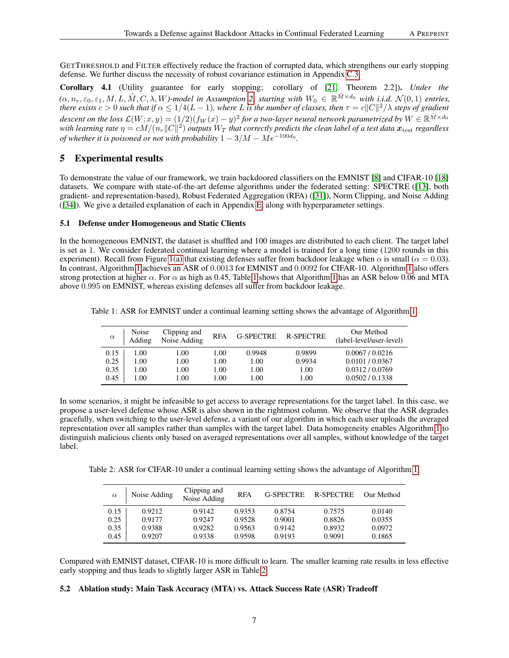GETTHRESHOLD and FILTER effectively reduce the fraction of corrupted data, which strengthens our early stopping defense. We further discuss the necessity of robust covariance estimation in Appendix [C.3.](#page-13-3)

<span id="page-6-2"></span>Corollary 4.1 (Utility guarantee for early stopping; corollary of [\[21,](#page-9-10) Theorem 2.2]). *Under the*  $(\alpha, n_r, \varepsilon_0, \varepsilon_1, M, L, \hat{M}, C, \lambda, W)$ -model in Assumption [2,](#page-13-1) starting with  $W_0 \in \mathbb{R}^{\hat{M} \times d_0}$  with i.i.d.  $\mathcal{N}(0, 1)$  entries, *there exists*  $c > 0$  such that if  $\alpha \leq 1/4(L-1)$ , where L is the number of classes, then  $\tau = c||C||^2/\lambda$  steps of gradient descent on the loss  $\mathcal{L}(W;x,y)=(1/2)(f_W(x)-y)^2$  for a two-layer neural network parametrized by  $W\in\mathbb{R}^{\hat{M}\times d_0}$ with learning rate  $\eta = cM/(n_r\|C\|^2)$  outputs  $W_T$  that correctly predicts the clean label of a test data  $\bm{x}_{\rm test}$  regardless *of whether it is poisoned or not with probability*  $1 - 3/M - Me^{-100d_0}$ .

# <span id="page-6-0"></span>5 Experimental results

To demonstrate the value of our framework, we train backdoored classifiers on the EMNIST [\[8\]](#page-8-1) and CIFAR-10 [\[18\]](#page-9-6) datasets. We compare with state-of-the-art defense algorithms under the federated setting: SPECTRE ([\[13\]](#page-9-1), both gradient- and representation-based), Robust Federated Aggregation (RFA) ([\[31\]](#page-9-2)), Norm Clipping, and Noise Adding ([\[34\]](#page-10-4)). We give a detailed explanation of each in Appendix [E,](#page-14-0) along with hyperparameter settings.

## <span id="page-6-1"></span>5.1 Defense under Homogeneous and Static Clients

In the homogeneous EMNIST, the dataset is shuffled and 100 images are distributed to each client. The target label is set as 1. We consider federated continual learning where a model is trained for a long time (1200 rounds in this experiment). Recall from Figure [1\(a\)](#page-3-2) that existing defenses suffer from backdoor leakage when  $\alpha$  is small ( $\alpha = 0.03$ ). In contrast, Algorithm [1](#page-5-1) achieves an ASR of 0.0013 for EMNIST and 0.0092 for CIFAR-10. Algorithm [1](#page-5-1) also offers strong protection at higher  $\alpha$ . For  $\alpha$  as high as 0.45, Table [1](#page-5-1) shows that Algorithm 1 has an ASR below 0.06 and MTA above 0.995 on EMNIST, whereas existing defenses all suffer from backdoor leakage.

|  | Table 1: ASR for EMNIST under a continual learning setting shows the advantage of Algorithm 1. |  |  |  |  |
|--|------------------------------------------------------------------------------------------------|--|--|--|--|
|  |                                                                                                |  |  |  |  |
|  |                                                                                                |  |  |  |  |

<span id="page-6-3"></span>

| $\alpha$ | Noise<br>Adding | Clipping and<br>Noise Adding | <b>RFA</b> | <b>G-SPECTRE</b> | <b>R-SPECTRE</b> | Our Method<br>(label-level/user-level) |
|----------|-----------------|------------------------------|------------|------------------|------------------|----------------------------------------|
| 0.15     | 0.00            | 1.00                         | 1.00       | 0.9948           | 0.9899           | 0.0067/0.0216                          |
| 0.25     | 1.00            | 1.00                         | 1.00       | 1.00             | 0.9934           | 0.0101 / 0.0367                        |
| 0.35     | 1.00            | 1.00                         | 1.00       | 1.00             | 1.00             | 0.0312/0.0769                          |
| 0.45     | 1.00            | 1.00                         | 1.00       | 1.00             | 1.00             | 0.0502 / 0.1338                        |

In some scenarios, it might be infeasible to get access to average representations for the target label. In this case, we propose a user-level defense whose ASR is also shown in the rightmost column. We observe that the ASR degrades gracefully, when switching to the user-level defense, a variant of our algorithm in which each user uploads the averaged representation over all samples rather than samples with the target label. Data homogeneity enables Algorithm [1](#page-5-1) to distinguish malicious clients only based on averaged representations over all samples, without knowledge of the target label.

Table 2: ASR for CIFAR-10 under a continual learning setting shows the advantage of Algorithm [1.](#page-5-1)

<span id="page-6-4"></span>

| $\alpha$ | Noise Adding | Clipping and<br>Noise Adding | <b>RFA</b> | <b>G-SPECTRE</b> | <b>R-SPECTRE</b> | Our Method |
|----------|--------------|------------------------------|------------|------------------|------------------|------------|
| 0.15     | 0.9212       | 0.9142                       | 0.9353     | 0.8754           | 0.7575           | 0.0140     |
| 0.25     | 0.9177       | 0.9247                       | 0.9528     | 0.9001           | 0.8826           | 0.0355     |
| 0.35     | 0.9388       | 0.9282                       | 0.9563     | 0.9142           | 0.8932           | 0.0972     |
| 0.45     | 0.9207       | 0.9338                       | 0.9598     | 0.9193           | 0.9091           | 0.1865     |

Compared with EMNIST dataset, CIFAR-10 is more difficult to learn. The smaller learning rate results in less effective early stopping and thus leads to slightly larger ASR in Table [2.](#page-6-4)

# 5.2 Ablation study: Main Task Accuracy (MTA) vs. Attack Success Rate (ASR) Tradeoff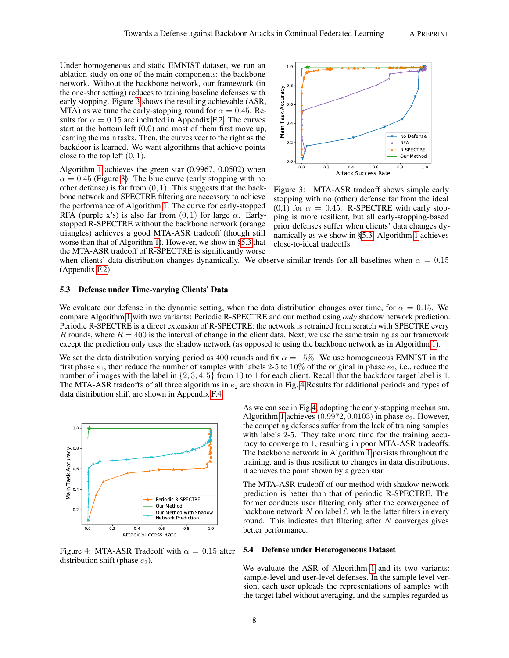Under homogeneous and static EMNIST dataset, we run an ablation study on one of the main components: the backbone network. Without the backbone network, our framework (in the one-shot setting) reduces to training baseline defenses with early stopping. Figure [3](#page-7-1) shows the resulting achievable (ASR, MTA) as we tune the early-stopping round for  $\alpha = 0.45$ . Results for  $\alpha = 0.15$  are included in Appendix [F.2.](#page-15-0) The curves start at the bottom left (0,0) and most of them first move up, learning the main tasks. Then, the curves veer to the right as the backdoor is learned. We want algorithms that achieve points close to the top left  $(0, 1)$ .

Algorithm [1](#page-5-1) achieves the green star (0.9967, 0.0502) when  $\alpha = 0.45$  (Figure [3\)](#page-7-1). The blue curve (early stopping with no other defense) is far from  $(0, 1)$ . This suggests that the backbone network and SPECTRE filtering are necessary to achieve the performance of Algorithm [1.](#page-5-1) The curve for early-stopped RFA (purple x's) is also far from  $(0, 1)$  for large  $\alpha$ . Earlystopped R-SPECTRE without the backbone network (orange triangles) achieves a good MTA-ASR tradeoff (though still worse than that of Algorithm [1\)](#page-5-1). However, we show in [§5.3](#page-7-0) that the MTA-ASR tradeoff of R-SPECTRE is significantly worse



<span id="page-7-1"></span>Figure 3: MTA-ASR tradeoff shows simple early stopping with no (other) defense far from the ideal (0,1) for  $\alpha = 0.45$ . R-SPECTRE with early stopping is more resilient, but all early-stopping-based prior defenses suffer when clients' data changes dynamically as we show in [§5.3.](#page-7-0) Algorithm [1](#page-5-1) achieves close-to-ideal tradeoffs.

when clients' data distribution changes dynamically. We observe similar trends for all baselines when  $\alpha = 0.15$ (Appendix [F.2\)](#page-15-0).

#### <span id="page-7-0"></span>5.3 Defense under Time-varying Clients' Data

We evaluate our defense in the dynamic setting, when the data distribution changes over time, for  $\alpha = 0.15$ . We compare Algorithm [1](#page-5-1) with two variants: Periodic R-SPECTRE and our method using *only* shadow network prediction. Periodic R-SPECTRE is a direct extension of R-SPECTRE: the network is retrained from scratch with SPECTRE every R rounds, where  $R = 400$  is the interval of change in the client data. Next, we use the same training as our framework except the prediction only uses the shadow network (as opposed to using the backbone network as in Algorithm [1\)](#page-5-1).

We set the data distribution varying period as 400 rounds and fix  $\alpha = 15\%$ . We use homogeneous EMNIST in the first phase  $e_1$ , then reduce the number of samples with labels 2-5 to 10% of the original in phase  $e_2$ , i.e., reduce the number of images with the label in  $\{2, 3, 4, 5\}$  from 10 to 1 for each client. Recall that the backdoor target label is 1. The MTA-ASR tradeoffs of all three algorithms in  $e_2$  are shown in Fig. [4](#page-7-2) Results for additional periods and types of data distribution shift are shown in Appendix [F.4.](#page-16-0)



<span id="page-7-3"></span><span id="page-7-2"></span>Figure 4: MTA-ASR Tradeoff with  $\alpha = 0.15$  after distribution shift (phase  $e_2$ ).

As we can see in Fig[.4,](#page-7-2) adopting the early-stopping mechanism, Algorithm [1](#page-5-1) achieves  $(0.9972, 0.0103)$  in phase  $e_2$ . However, the competing defenses suffer from the lack of training samples with labels 2-5. They take more time for the training accuracy to converge to 1, resulting in poor MTA-ASR tradeoffs. The backbone network in Algorithm [1](#page-5-1) persists throughout the training, and is thus resilient to changes in data distributions; it achieves the point shown by a green star.

The MTA-ASR tradeoff of our method with shadow network prediction is better than that of periodic R-SPECTRE. The former conducts user filtering only after the convergence of backbone network  $N$  on label  $\ell$ , while the latter filters in every round. This indicates that filtering after  $N$  converges gives better performance.

#### 5.4 Defense under Heterogeneous Dataset

We evaluate the ASR of Algorithm [1](#page-5-1) and its two variants: sample-level and user-level defenses. In the sample level version, each user uploads the representations of samples with the target label without averaging, and the samples regarded as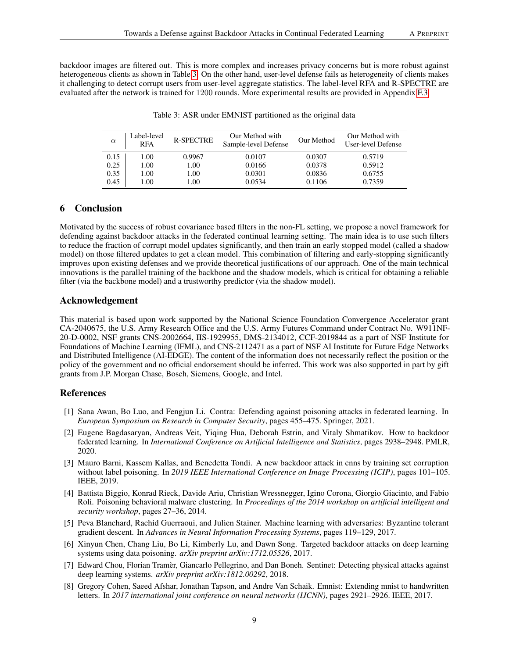backdoor images are filtered out. This is more complex and increases privacy concerns but is more robust against heterogeneous clients as shown in Table [3.](#page-8-3) On the other hand, user-level defense fails as heterogeneity of clients makes it challenging to detect corrupt users from user-level aggregate statistics. The label-level RFA and R-SPECTRE are evaluated after the network is trained for 1200 rounds. More experimental results are provided in Appendix [F.3.](#page-16-1)

| $\alpha$ | Label-level<br><b>RFA</b> | <b>R-SPECTRE</b> | Our Method with<br>Sample-level Defense | Our Method | Our Method with<br>User-level Defense |
|----------|---------------------------|------------------|-----------------------------------------|------------|---------------------------------------|
| 0.15     | 1.00                      | 0.9967           | 0.0107                                  | 0.0307     | 0.5719                                |
| 0.25     | 1.00                      | 1.00             | 0.0166                                  | 0.0378     | 0.5912                                |
| 0.35     | 1.00                      | 1.00             | 0.0301                                  | 0.0836     | 0.6755                                |
| 0.45     | l.00                      | 1.00             | 0.0534                                  | 0.1106     | 0.7359                                |

<span id="page-8-3"></span>

# 6 Conclusion

Motivated by the success of robust covariance based filters in the non-FL setting, we propose a novel framework for defending against backdoor attacks in the federated continual learning setting. The main idea is to use such filters to reduce the fraction of corrupt model updates significantly, and then train an early stopped model (called a shadow model) on those filtered updates to get a clean model. This combination of filtering and early-stopping significantly improves upon existing defenses and we provide theoretical justifications of our approach. One of the main technical innovations is the parallel training of the backbone and the shadow models, which is critical for obtaining a reliable filter (via the backbone model) and a trustworthy predictor (via the shadow model).

# Acknowledgement

This material is based upon work supported by the National Science Foundation Convergence Accelerator grant CA-2040675, the U.S. Army Research Office and the U.S. Army Futures Command under Contract No. W911NF-20-D-0002, NSF grants CNS-2002664, IIS-1929955, DMS-2134012, CCF-2019844 as a part of NSF Institute for Foundations of Machine Learning (IFML), and CNS-2112471 as a part of NSF AI Institute for Future Edge Networks and Distributed Intelligence (AI-EDGE). The content of the information does not necessarily reflect the position or the policy of the government and no official endorsement should be inferred. This work was also supported in part by gift grants from J.P. Morgan Chase, Bosch, Siemens, Google, and Intel.

# References

- <span id="page-8-7"></span>[1] Sana Awan, Bo Luo, and Fengjun Li. Contra: Defending against poisoning attacks in federated learning. In *European Symposium on Research in Computer Security*, pages 455–475. Springer, 2021.
- <span id="page-8-5"></span>[2] Eugene Bagdasaryan, Andreas Veit, Yiqing Hua, Deborah Estrin, and Vitaly Shmatikov. How to backdoor federated learning. In *International Conference on Artificial Intelligence and Statistics*, pages 2938–2948. PMLR, 2020.
- <span id="page-8-8"></span>[3] Mauro Barni, Kassem Kallas, and Benedetta Tondi. A new backdoor attack in cnns by training set corruption without label poisoning. In *2019 IEEE International Conference on Image Processing (ICIP)*, pages 101–105. IEEE, 2019.
- <span id="page-8-2"></span>[4] Battista Biggio, Konrad Rieck, Davide Ariu, Christian Wressnegger, Igino Corona, Giorgio Giacinto, and Fabio Roli. Poisoning behavioral malware clustering. In *Proceedings of the 2014 workshop on artificial intelligent and security workshop*, pages 27–36, 2014.
- <span id="page-8-6"></span>[5] Peva Blanchard, Rachid Guerraoui, and Julien Stainer. Machine learning with adversaries: Byzantine tolerant gradient descent. In *Advances in Neural Information Processing Systems*, pages 119–129, 2017.
- <span id="page-8-4"></span>[6] Xinyun Chen, Chang Liu, Bo Li, Kimberly Lu, and Dawn Song. Targeted backdoor attacks on deep learning systems using data poisoning. *arXiv preprint arXiv:1712.05526*, 2017.
- <span id="page-8-0"></span>[7] Edward Chou, Florian Tramèr, Giancarlo Pellegrino, and Dan Boneh. Sentinet: Detecting physical attacks against deep learning systems. *arXiv preprint arXiv:1812.00292*, 2018.
- <span id="page-8-1"></span>[8] Gregory Cohen, Saeed Afshar, Jonathan Tapson, and Andre Van Schaik. Emnist: Extending mnist to handwritten letters. In *2017 international joint conference on neural networks (IJCNN)*, pages 2921–2926. IEEE, 2017.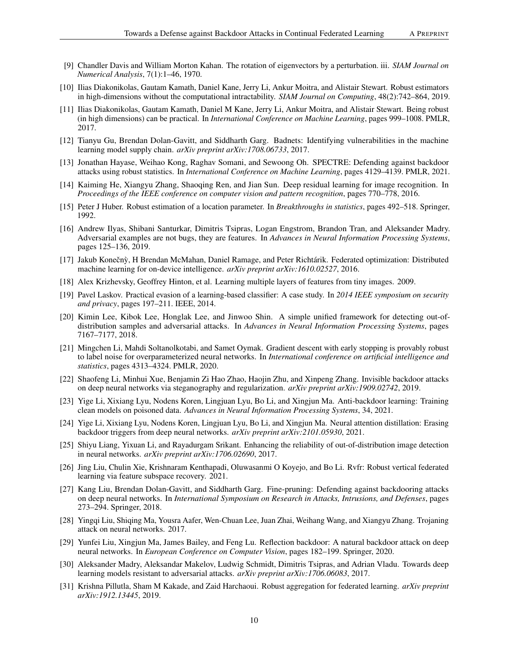- <span id="page-9-20"></span>[9] Chandler Davis and William Morton Kahan. The rotation of eigenvectors by a perturbation. iii. *SIAM Journal on Numerical Analysis*, 7(1):1–46, 1970.
- <span id="page-9-21"></span>[10] Ilias Diakonikolas, Gautam Kamath, Daniel Kane, Jerry Li, Ankur Moitra, and Alistair Stewart. Robust estimators in high-dimensions without the computational intractability. *SIAM Journal on Computing*, 48(2):742–864, 2019.
- <span id="page-9-8"></span>[11] Ilias Diakonikolas, Gautam Kamath, Daniel M Kane, Jerry Li, Ankur Moitra, and Alistair Stewart. Being robust (in high dimensions) can be practical. In *International Conference on Machine Learning*, pages 999–1008. PMLR, 2017.
- <span id="page-9-7"></span>[12] Tianyu Gu, Brendan Dolan-Gavitt, and Siddharth Garg. Badnets: Identifying vulnerabilities in the machine learning model supply chain. *arXiv preprint arXiv:1708.06733*, 2017.
- <span id="page-9-1"></span>[13] Jonathan Hayase, Weihao Kong, Raghav Somani, and Sewoong Oh. SPECTRE: Defending against backdoor attacks using robust statistics. In *International Conference on Machine Learning*, pages 4129–4139. PMLR, 2021.
- <span id="page-9-22"></span>[14] Kaiming He, Xiangyu Zhang, Shaoqing Ren, and Jian Sun. Deep residual learning for image recognition. In *Proceedings of the IEEE conference on computer vision and pattern recognition*, pages 770–778, 2016.
- <span id="page-9-9"></span>[15] Peter J Huber. Robust estimation of a location parameter. In *Breakthroughs in statistics*, pages 492–518. Springer, 1992.
- <span id="page-9-12"></span>[16] Andrew Ilyas, Shibani Santurkar, Dimitris Tsipras, Logan Engstrom, Brandon Tran, and Aleksander Madry. Adversarial examples are not bugs, they are features. In *Advances in Neural Information Processing Systems*, pages 125–136, 2019.
- <span id="page-9-0"></span>[17] Jakub Konečnỳ, H Brendan McMahan, Daniel Ramage, and Peter Richtárik. Federated optimization: Distributed machine learning for on-device intelligence. *arXiv preprint arXiv:1610.02527*, 2016.
- <span id="page-9-6"></span>[18] Alex Krizhevsky, Geoffrey Hinton, et al. Learning multiple layers of features from tiny images. 2009.
- <span id="page-9-19"></span>[19] Pavel Laskov. Practical evasion of a learning-based classifier: A case study. In *2014 IEEE symposium on security and privacy*, pages 197–211. IEEE, 2014.
- <span id="page-9-17"></span>[20] Kimin Lee, Kibok Lee, Honglak Lee, and Jinwoo Shin. A simple unified framework for detecting out-ofdistribution samples and adversarial attacks. In *Advances in Neural Information Processing Systems*, pages 7167–7177, 2018.
- <span id="page-9-10"></span>[21] Mingchen Li, Mahdi Soltanolkotabi, and Samet Oymak. Gradient descent with early stopping is provably robust to label noise for overparameterized neural networks. In *International conference on artificial intelligence and statistics*, pages 4313–4324. PMLR, 2020.
- <span id="page-9-15"></span>[22] Shaofeng Li, Minhui Xue, Benjamin Zi Hao Zhao, Haojin Zhu, and Xinpeng Zhang. Invisible backdoor attacks on deep neural networks via steganography and regularization. *arXiv preprint arXiv:1909.02742*, 2019.
- <span id="page-9-3"></span>[23] Yige Li, Xixiang Lyu, Nodens Koren, Lingjuan Lyu, Bo Li, and Xingjun Ma. Anti-backdoor learning: Training clean models on poisoned data. *Advances in Neural Information Processing Systems*, 34, 2021.
- <span id="page-9-5"></span>[24] Yige Li, Xixiang Lyu, Nodens Koren, Lingjuan Lyu, Bo Li, and Xingjun Ma. Neural attention distillation: Erasing backdoor triggers from deep neural networks. *arXiv preprint arXiv:2101.05930*, 2021.
- <span id="page-9-16"></span>[25] Shiyu Liang, Yixuan Li, and Rayadurgam Srikant. Enhancing the reliability of out-of-distribution image detection in neural networks. *arXiv preprint arXiv:1706.02690*, 2017.
- <span id="page-9-18"></span>[26] Jing Liu, Chulin Xie, Krishnaram Kenthapadi, Oluwasanmi O Koyejo, and Bo Li. Rvfr: Robust vertical federated learning via feature subspace recovery. 2021.
- <span id="page-9-4"></span>[27] Kang Liu, Brendan Dolan-Gavitt, and Siddharth Garg. Fine-pruning: Defending against backdooring attacks on deep neural networks. In *International Symposium on Research in Attacks, Intrusions, and Defenses*, pages 273–294. Springer, 2018.
- <span id="page-9-13"></span>[28] Yingqi Liu, Shiqing Ma, Yousra Aafer, Wen-Chuan Lee, Juan Zhai, Weihang Wang, and Xiangyu Zhang. Trojaning attack on neural networks. 2017.
- <span id="page-9-14"></span>[29] Yunfei Liu, Xingjun Ma, James Bailey, and Feng Lu. Reflection backdoor: A natural backdoor attack on deep neural networks. In *European Conference on Computer Vision*, pages 182–199. Springer, 2020.
- <span id="page-9-11"></span>[30] Aleksander Madry, Aleksandar Makelov, Ludwig Schmidt, Dimitris Tsipras, and Adrian Vladu. Towards deep learning models resistant to adversarial attacks. *arXiv preprint arXiv:1706.06083*, 2017.
- <span id="page-9-2"></span>[31] Krishna Pillutla, Sham M Kakade, and Zaid Harchaoui. Robust aggregation for federated learning. *arXiv preprint arXiv:1912.13445*, 2019.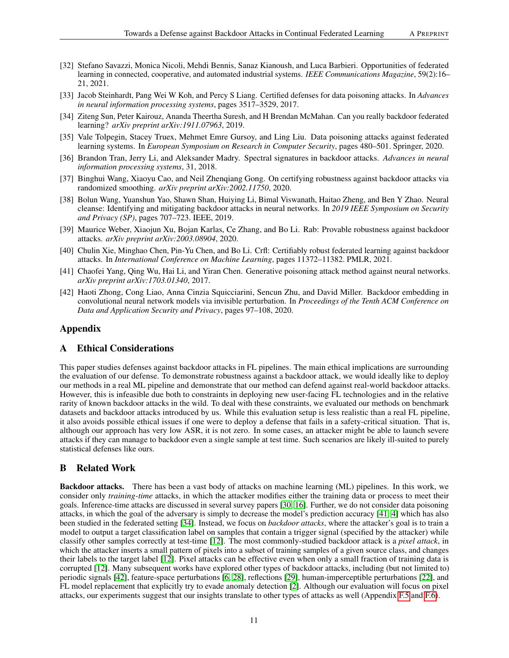- <span id="page-10-1"></span>[32] Stefano Savazzi, Monica Nicoli, Mehdi Bennis, Sanaz Kianoush, and Luca Barbieri. Opportunities of federated learning in connected, cooperative, and automated industrial systems. *IEEE Communications Magazine*, 59(2):16– 21, 2021.
- <span id="page-10-7"></span>[33] Jacob Steinhardt, Pang Wei W Koh, and Percy S Liang. Certified defenses for data poisoning attacks. In *Advances in neural information processing systems*, pages 3517–3529, 2017.
- <span id="page-10-4"></span>[34] Ziteng Sun, Peter Kairouz, Ananda Theertha Suresh, and H Brendan McMahan. Can you really backdoor federated learning? *arXiv preprint arXiv:1911.07963*, 2019.
- <span id="page-10-10"></span>[35] Vale Tolpegin, Stacey Truex, Mehmet Emre Gursoy, and Ling Liu. Data poisoning attacks against federated learning systems. In *European Symposium on Research in Computer Security*, pages 480–501. Springer, 2020.
- <span id="page-10-11"></span>[36] Brandon Tran, Jerry Li, and Aleksander Madry. Spectral signatures in backdoor attacks. *Advances in neural information processing systems*, 31, 2018.
- <span id="page-10-8"></span>[37] Binghui Wang, Xiaoyu Cao, and Neil Zhenqiang Gong. On certifying robustness against backdoor attacks via randomized smoothing. *arXiv preprint arXiv:2002.11750*, 2020.
- <span id="page-10-0"></span>[38] Bolun Wang, Yuanshun Yao, Shawn Shan, Huiying Li, Bimal Viswanath, Haitao Zheng, and Ben Y Zhao. Neural cleanse: Identifying and mitigating backdoor attacks in neural networks. In *2019 IEEE Symposium on Security and Privacy (SP)*, pages 707–723. IEEE, 2019.
- <span id="page-10-9"></span>[39] Maurice Weber, Xiaojun Xu, Bojan Karlas, Ce Zhang, and Bo Li. Rab: Provable robustness against backdoor attacks. *arXiv preprint arXiv:2003.08904*, 2020.
- <span id="page-10-5"></span>[40] Chulin Xie, Minghao Chen, Pin-Yu Chen, and Bo Li. Crfl: Certifiably robust federated learning against backdoor attacks. In *International Conference on Machine Learning*, pages 11372–11382. PMLR, 2021.
- <span id="page-10-3"></span>[41] Chaofei Yang, Qing Wu, Hai Li, and Yiran Chen. Generative poisoning attack method against neural networks. *arXiv preprint arXiv:1703.01340*, 2017.
- <span id="page-10-6"></span>[42] Haoti Zhong, Cong Liao, Anna Cinzia Squicciarini, Sencun Zhu, and David Miller. Backdoor embedding in convolutional neural network models via invisible perturbation. In *Proceedings of the Tenth ACM Conference on Data and Application Security and Privacy*, pages 97–108, 2020.

# Appendix

## A Ethical Considerations

This paper studies defenses against backdoor attacks in FL pipelines. The main ethical implications are surrounding the evaluation of our defense. To demonstrate robustness against a backdoor attack, we would ideally like to deploy our methods in a real ML pipeline and demonstrate that our method can defend against real-world backdoor attacks. However, this is infeasible due both to constraints in deploying new user-facing FL technologies and in the relative rarity of known backdoor attacks in the wild. To deal with these constraints, we evaluated our methods on benchmark datasets and backdoor attacks introduced by us. While this evaluation setup is less realistic than a real FL pipeline, it also avoids possible ethical issues if one were to deploy a defense that fails in a safety-critical situation. That is, although our approach has very low ASR, it is not zero. In some cases, an attacker might be able to launch severe attacks if they can manage to backdoor even a single sample at test time. Such scenarios are likely ill-suited to purely statistical defenses like ours.

# <span id="page-10-2"></span>B Related Work

Backdoor attacks. There has been a vast body of attacks on machine learning (ML) pipelines. In this work, we consider only *training-time* attacks, in which the attacker modifies either the training data or process to meet their goals. Inference-time attacks are discussed in several survey papers [\[30,](#page-9-11) [16\]](#page-9-12). Further, we do not consider data poisoning attacks, in which the goal of the adversary is simply to decrease the model's prediction accuracy [\[41,](#page-10-3) [4\]](#page-8-2) which has also been studied in the federated setting [\[34\]](#page-10-4). Instead, we focus on *backdoor attacks*, where the attacker's goal is to train a model to output a target classification label on samples that contain a trigger signal (specified by the attacker) while classify other samples correctly at test-time [\[12\]](#page-9-7). The most commonly-studied backdoor attack is a *pixel attack*, in which the attacker inserts a small pattern of pixels into a subset of training samples of a given source class, and changes their labels to the target label [\[12\]](#page-9-7). Pixel attacks can be effective even when only a small fraction of training data is corrupted [\[12\]](#page-9-7). Many subsequent works have explored other types of backdoor attacks, including (but not limited to) periodic signals [\[42\]](#page-10-6), feature-space perturbations [\[6,](#page-8-4) [28\]](#page-9-13), reflections [\[29\]](#page-9-14), human-imperceptible perturbations [\[22\]](#page-9-15), and FL model replacement that explicitly try to evade anomaly detection [\[2\]](#page-8-5). Although our evaluation will focus on pixel attacks, our experiments suggest that our insights translate to other types of attacks as well (Appendix [F.5](#page-18-0) and [F.6\)](#page-18-1).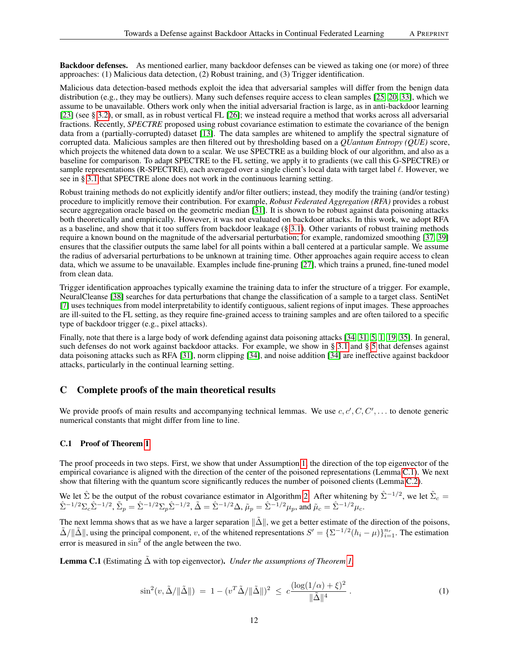Backdoor defenses. As mentioned earlier, many backdoor defenses can be viewed as taking one (or more) of three approaches: (1) Malicious data detection, (2) Robust training, and (3) Trigger identification.

Malicious data detection-based methods exploit the idea that adversarial samples will differ from the benign data distribution (e.g., they may be outliers). Many such defenses require access to clean samples [\[25,](#page-9-16) [20,](#page-9-17) [33\]](#page-10-7), which we assume to be unavailable. Others work only when the initial adversarial fraction is large, as in anti-backdoor learning [\[23\]](#page-9-3) (see § [3.2\)](#page-3-0), or small, as in robust vertical FL [\[26\]](#page-9-18); we instead require a method that works across all adversarial fractions. Recently, *SPECTRE* proposed using robust covariance estimation to estimate the covariance of the benign data from a (partially-corrupted) dataset [\[13\]](#page-9-1). The data samples are whitened to amplify the spectral signature of corrupted data. Malicious samples are then filtered out by thresholding based on a *QUantum Entropy (QUE)* score, which projects the whitened data down to a scalar. We use SPECTRE as a building block of our algorithm, and also as a baseline for comparison. To adapt SPECTRE to the FL setting, we apply it to gradients (we call this G-SPECTRE) or sample representations (R-SPECTRE), each averaged over a single client's local data with target label  $\ell$ . However, we see in § [3.1](#page-2-0) that SPECTRE alone does not work in the continuous learning setting.

Robust training methods do not explicitly identify and/or filter outliers; instead, they modify the training (and/or testing) procedure to implicitly remove their contribution. For example, *Robust Federated Aggregation (RFA)* provides a robust secure aggregation oracle based on the geometric median [\[31\]](#page-9-2). It is shown to be robust against data poisoning attacks both theoretically and empirically. However, it was not evaluated on backdoor attacks. In this work, we adopt RFA as a baseline, and show that it too suffers from backdoor leakage (§ [3.1\)](#page-2-0). Other variants of robust training methods require a known bound on the magnitude of the adversarial perturbation; for example, randomized smoothing [\[37,](#page-10-8) [39\]](#page-10-9) ensures that the classifier outputs the same label for all points within a ball centered at a particular sample. We assume the radius of adversarial perturbations to be unknown at training time. Other approaches again require access to clean data, which we assume to be unavailable. Examples include fine-pruning [\[27\]](#page-9-4), which trains a pruned, fine-tuned model from clean data.

Trigger identification approaches typically examine the training data to infer the structure of a trigger. For example, NeuralCleanse [\[38\]](#page-10-0) searches for data perturbations that change the classification of a sample to a target class. SentiNet [\[7\]](#page-8-0) uses techniques from model interpretability to identify contiguous, salient regions of input images. These approaches are ill-suited to the FL setting, as they require fine-grained access to training samples and are often tailored to a specific type of backdoor trigger (e.g., pixel attacks).

Finally, note that there is a large body of work defending against data poisoning attacks [\[34,](#page-10-4) [31,](#page-9-2) [5,](#page-8-6) [1,](#page-8-7) [19,](#page-9-19) [35\]](#page-10-10). In general, such defenses do not work against backdoor attacks. For example, we show in § [3.1](#page-2-0) and § [5](#page-6-0) that defenses against data poisoning attacks such as RFA [\[31\]](#page-9-2), norm clipping [\[34\]](#page-10-4), and noise addition [\[34\]](#page-10-4) are ineffective against backdoor attacks, particularly in the continual learning setting.

# C Complete proofs of the main theoretical results

We provide proofs of main results and accompanying technical lemmas. We use  $c, c', C, C', \ldots$  to denote generic numerical constants that might differ from line to line.

## <span id="page-11-0"></span>C.1 Proof of Theorem [1](#page-5-0)

The proof proceeds in two steps. First, we show that under Assumption [1,](#page-4-3) the direction of the top eigenvector of the empirical covariance is aligned with the direction of the center of the poisoned representations (Lemma [C.1\)](#page-11-1). We next show that filtering with the quantum score significantly reduces the number of poisoned clients (Lemma [C.2\)](#page-12-0).

We let 
$$
\hat{\Sigma}
$$
 be the output of the robust covariance estimator in Algorithm 2. After whitening by  $\hat{\Sigma}^{-1/2}$ , we let  $\tilde{\Sigma}_c = \hat{\Sigma}^{-1/2} \Sigma_c \hat{\Sigma}^{-1/2}$ ,  $\tilde{\Sigma}_p = \hat{\Sigma}^{-1/2} \Sigma_p \hat{\Sigma}^{-1/2}$ ,  $\tilde{\Delta} = \hat{\Sigma}^{-1/2} \Delta$ ,  $\tilde{\mu}_p = \hat{\Sigma}^{-1/2} \mu_p$ , and  $\tilde{\mu}_c = \hat{\Sigma}^{-1/2} \mu_c$ .

The next lemma shows that as we have a larger separation  $\|\tilde{\Delta}\|$ , we get a better estimate of the direction of the poisons,  $\tilde{\Delta}/\|\tilde{\Delta}\|$ , using the principal component, v, of the whitened representations  $S' = {\{\Sigma^{-1/2}(h_i - \mu)\}}_{i=1}^{n_r}$ . The estimation error is measured in  $\sin^2$  of the angle between the two.

<span id="page-11-1"></span>Lemma C.1 (Estimating ∆˜ with top eigenvector). *Under the assumptions of Theorem [1,](#page-5-0)*

$$
\sin^2(v, \tilde{\Delta}/\|\tilde{\Delta}\|) = 1 - (v^T \tilde{\Delta}/\|\tilde{\Delta}\|)^2 \le c \frac{(\log(1/\alpha) + \xi)^2}{\|\tilde{\Delta}\|^4}.
$$
 (1)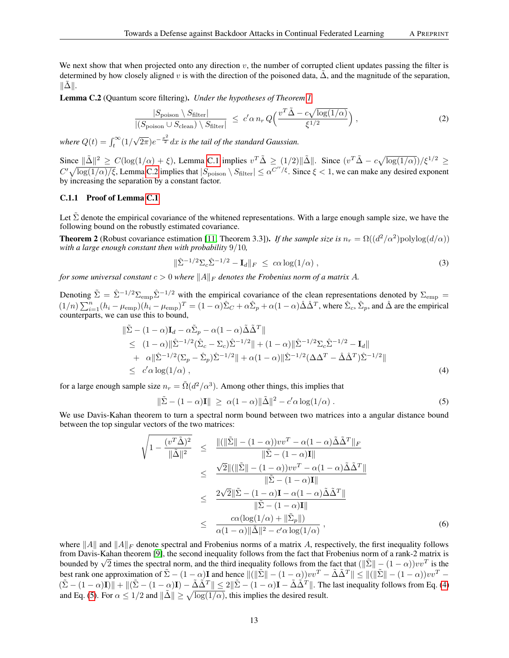We next show that when projected onto any direction  $v$ , the number of corrupted client updates passing the filter is determined by how closely aligned v is with the direction of the poisoned data,  $\tilde{\Delta}$ , and the magnitude of the separation,  $\|\tilde{\Delta}\|$ .

<span id="page-12-0"></span>Lemma C.2 (Quantum score filtering). *Under the hypotheses of Theorem [1,](#page-5-0)*

$$
\frac{|S_{\text{poison}} \setminus S_{\text{filter}}|}{|(S_{\text{poison}} \cup S_{\text{clean}}) \setminus S_{\text{filter}}|} \leq c' \alpha n_r Q\Big(\frac{v^T \tilde{\Delta} - c \sqrt{\log(1/\alpha)}}{\xi^{1/2}}\Big),\tag{2}
$$

where  $Q(t) = \int_t^\infty (1/t) dt$ √  $\sqrt{2\pi}$ ) $e^{-\frac{x^2}{2}}dx$  is the tail of the standard Gaussian.

Since  $\|\tilde{\Delta}\|^2 \ge C(\log(1/\alpha) + \xi)$ , Lemma [C.1](#page-11-1) implies  $v^T \tilde{\Delta} \ge (1/2) \|\tilde{\Delta}\|$ . Since  $(v^T \tilde{\Delta} - c \sqrt{\log(1/\alpha)})/\xi^{1/2} \ge$  $C' \sqrt{\log(1/\alpha)/\xi}$ , Lemma [C.2](#page-12-0) implies that  $|S_{\text{poison}} \setminus S_{\text{filter}}| \leq \alpha^{C''/\xi}$ . Since  $\xi < 1$ , we can make any desired exponent by increasing the separation by a constant factor.

# C.1.1 Proof of Lemma [C.1](#page-11-1)

Let  $\Sigma$  denote the empirical covariance of the whitened representations. With a large enough sample size, we have the following bound on the robustly estimated covariance.

**Theorem 2** (Robust covariance estimation [\[11,](#page-9-8) Theorem 3.3]). *If the sample size is*  $n_r = \Omega((d^2/\alpha^2)$ polylog $(d/\alpha))$ *with a large enough constant then with probability* 9/10*,*

$$
\|\hat{\Sigma}^{-1/2}\Sigma_c\hat{\Sigma}^{-1/2} - \mathbf{I}_d\|_F \leq c\alpha \log(1/\alpha) , \qquad (3)
$$

*for some universal constant*  $c > 0$  *where*  $||A||_F$  *denotes the Frobenius norm of a matrix* A.

Denoting  $\tilde{\Sigma} = \hat{\Sigma}^{-1/2} \Sigma_{\rm emp} \hat{\Sigma}^{-1/2}$  with the empirical covariance of the clean representations denoted by  $\Sigma_{\rm emp} =$  $(1/n)\sum_{i=1}^{n} (h_i - \mu_{\text{emp}})(h_i - \mu_{\text{emp}})^T = (1 - \alpha)\hat{\Sigma}_C + \alpha\hat{\Sigma}_p + \alpha(1 - \alpha)\hat{\Delta}\hat{\Delta}^T$ , where  $\hat{\Sigma}_c, \hat{\Sigma}_p$ , and  $\hat{\Delta}$  are the empirical counterparts, we can use this to bound,

$$
\|\tilde{\Sigma} - (1 - \alpha)\mathbf{I}_d - \alpha \tilde{\Sigma}_p - \alpha (1 - \alpha) \tilde{\Delta} \tilde{\Delta}^T \| \n\leq (1 - \alpha) \|\hat{\Sigma}^{-1/2} (\hat{\Sigma}_c - \Sigma_c) \hat{\Sigma}^{-1/2} \| + (1 - \alpha) \|\hat{\Sigma}^{-1/2} \Sigma_c \hat{\Sigma}^{-1/2} - \mathbf{I}_d \| \n+ \alpha \|\hat{\Sigma}^{-1/2} (\Sigma_p - \hat{\Sigma}_p) \hat{\Sigma}^{-1/2} \| + \alpha (1 - \alpha) \|\hat{\Sigma}^{-1/2} (\Delta \Delta^T - \hat{\Delta} \hat{\Delta}^T) \hat{\Sigma}^{-1/2} \| \n\leq c' \alpha \log(1/\alpha),
$$
\n(4)

for a large enough sample size  $n_r = \tilde{\Omega}(d^2/\alpha^3)$ . Among other things, this implies that

<span id="page-12-2"></span><span id="page-12-1"></span>
$$
\|\tilde{\Sigma} - (1 - \alpha)\mathbf{I}\| \ge \alpha(1 - \alpha)\|\tilde{\Delta}\|^2 - c'\alpha \log(1/\alpha) . \tag{5}
$$

We use Davis-Kahan theorem to turn a spectral norm bound between two matrices into a angular distance bound between the top singular vectors of the two matrices:

$$
\sqrt{1 - \frac{(v^T \tilde{\Delta})^2}{\|\tilde{\Delta}\|^2}} \leq \frac{\|(\|\tilde{\Sigma}\| - (1 - \alpha))vv^T - \alpha(1 - \alpha)\tilde{\Delta}\tilde{\Delta}^T\|_F}{\|\tilde{\Sigma} - (1 - \alpha)\mathbf{I}\|} \n\leq \frac{\sqrt{2}\|(\|\tilde{\Sigma}\| - (1 - \alpha))vv^T - \alpha(1 - \alpha)\tilde{\Delta}\tilde{\Delta}^T\|}{\|\tilde{\Sigma} - (1 - \alpha)\mathbf{I}\|} \n\leq \frac{2\sqrt{2}\|\tilde{\Sigma} - (1 - \alpha)\mathbf{I} - \alpha(1 - \alpha)\tilde{\Delta}\tilde{\Delta}^T\|}{\|\tilde{\Sigma} - (1 - \alpha)\mathbf{I}\|} \n\leq \frac{c\alpha(\log(1/\alpha) + \|\tilde{\Sigma}_p\|)}{\alpha(1 - \alpha)\|\tilde{\Delta}\|^2 - c'\alpha\log(1/\alpha)},
$$
\n(6)

where  $||A||$  and  $||A||_F$  denote spectral and Frobenius norms of a matrix A, respectively, the first inequality follows from Davis-Kahan theorem [\[9\]](#page-9-20), the second inequality follows from the fact that Frobenius norm of a rank-2 matrix is bounded by  $\sqrt{2}$  times the spectral norm, and the third inequality follows from the fact that  $(\|\tilde{\Sigma}\| - (1 - \alpha))vv^T$  is the bounded by  $\sqrt{2}$  times the spectral norm, and the third inequality follows from the fact that best rank one approximation of  $\tilde{\Sigma} - (1 - \alpha)\mathbf{I}$  and hence  $\|(\|\tilde{\Sigma}\| - (1 - \alpha))vv^T - \tilde{\Delta}\tilde{\Delta}^T\| \le \|(\|\tilde{\Sigma}\| - (1 - \alpha))vv^T (\tilde{\Sigma} - (1 - \alpha)\mathbf{I}) + ||(\tilde{\Sigma} - (1 - \alpha)\mathbf{I}) - \tilde{\Delta}\tilde{\Delta}^T|| \leq 2||\tilde{\Sigma} - (1 - \alpha)\mathbf{I} - \tilde{\Delta}\tilde{\Delta}^T||$ . The last inequality follows from Eq. [\(4\)](#page-12-1) and Eq. [\(5\)](#page-12-2). For  $\alpha \leq 1/2$  and  $\|\tilde{\Delta}\| \geq \sqrt{\log(1/\alpha)}$ , this implies the desired result.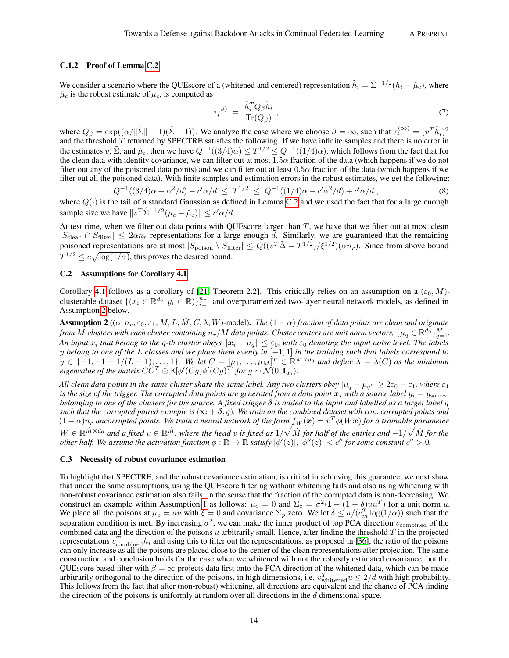#### C.1.2 Proof of Lemma [C.2](#page-12-0)

We consider a scenario where the QUEscore of a (whitened and centered) representation  $\tilde{h}_i = \hat{\Sigma}^{-1/2} (h_i - \hat{\mu}_c)$ , where  $\hat{\mu}_c$  is the robust estimate of  $\mu_c$ , is computed as

$$
\tau_i^{(\beta)} = \frac{\tilde{h}_i^T Q_\beta \tilde{h}_i}{\text{Tr}(Q_\beta)},\tag{7}
$$

where  $Q_{\beta} = \exp((\alpha/||\tilde{\Sigma}|| - 1)(\tilde{\Sigma} - I))$ . We analyze the case where we choose  $\beta = \infty$ , such that  $\tau_i^{(\infty)} = (v^T \tilde{h}_i)^2$ and the threshold  $T$  returned by SPECTRE satisfies the following. If we have infinite samples and there is no error in the estimates v,  $\tilde{\Sigma}$ , and  $\hat{\mu}_c$ , then we have  $Q^{-1}((3/4)\alpha) \le T^{1/2} \le Q^{-1}((1/4)\alpha)$ , which follows from the fact that for the clean data with identity covariance, we can filter out at most 1.5α fraction of the data (which happens if we do not filter out any of the poisoned data points) and we can filter out at least  $0.5\alpha$  fraction of the data (which happens if we filter out all the poisoned data). With finite samples and estimation errors in the robust estimates, we get the following:

$$
Q^{-1}((3/4)\alpha + \alpha^2/d) - c'\alpha/d \le T^{1/2} \le Q^{-1}((1/4)\alpha - c'\alpha^2/d) + c'\alpha/d,
$$
\n(8)

where  $Q(\cdot)$  is the tail of a standard Gaussian as defined in Lemma [C.2](#page-12-0) and we used the fact that for a large enough sample size we have  $||v^T \hat{\Sigma}^{-1/2} (\mu_c - \hat{\mu}_c)|| \le c' \alpha / d$ .

At test time, when we filter out data points with QUEscore larger than  $T$ , we have that we filter out at most clean  $|S_{\text{clean}} \cap S_{\text{filter}}| \leq 2\alpha n_r$  representations for a large enough d. Similarly, we are guaranteed that the remaining poisoned representations are at most  $|S_{poison} \setminus S_{filter}| \leq Q((v^T \tilde{\Delta} - T^{1/2})/\xi^{1/2})(\alpha n_r)$ . Since from above bound  $T^{1/2} \leq c \sqrt{\log(1/\alpha)}$ , this proves the desired bound.

#### <span id="page-13-2"></span>C.2 Assumptions for Corollary [4.1](#page-6-2)

Corollary [4.1](#page-6-2) follows as a corollary of [\[21,](#page-9-10) Theorem 2.2]. This critically relies on an assumption on a  $(\varepsilon_0, M)$ clusterable dataset  $\{(x_i \in \mathbb{R}^{d_0}, y_i \in \mathbb{R})\}_{i=1}^{n_r}$  and overparametrized two-layer neural network models, as defined in Assumption [2](#page-13-1) below.

<span id="page-13-1"></span>**Assumption 2**  $((\alpha, n_r, \varepsilon_0, \varepsilon_1, M, L, \tilde{M}, C, \lambda, W)$ -model). *The*  $(1 - \alpha)$  *fraction of data points are clean and originate from*  $M$  *clusters with each cluster containing*  $n_r/M$  *data points. Cluster centers are unit norm vectors,*  $\{\mu_q\in\mathbb{R}^{d_0}\}_{q=1}^M.$ *An input*  $x_i$  that belong to the q-th cluster obeys  $\|x_i - \mu_q\| \leq \varepsilon_0$ , with  $\varepsilon_0$  denoting the input noise level. The labels y *belong to one of the* L *classes and we place them evenly in* [−1, 1] *in the training such that labels correspond to*  $y \in \{-1, -1 + 1/(L - 1), \ldots, 1\}$ . We let  $C = [\mu_1, \ldots, \mu_M]^T \in \mathbb{R}^{M \times d_0}$  and define  $\lambda = \lambda(C)$  as the minimum eigenvalue of the matrix  $\vec{CC}^T \odot \mathbb{E}[\phi'(Cg)\phi'(Cg)^T]$  for  $g \sim \vec{\mathcal{N}}(0,\mathbf{I}_{d_0})$ .

*All clean data points in the same cluster share the same label. Any two clusters obey*  $|\mu_q - \mu_{q'}| \geq 2\varepsilon_0 + \varepsilon_1$ , where  $\varepsilon_1$ is the size of the trigger. The corrupted data points are generated from a data point  $x_i$  with a source label  $y_i = y_{\text{source}}$ *belonging to one of the clusters for the source. A fixed trigger*  $\delta$  *is added to the input and labelled as a target label q such that the corrupted paired example is* ( $\mathbf{x}_i + \delta$ , q). We train on the combined dataset with  $\alpha n_r$  *corrupted points and*  $(1-\alpha)n_r$  *uncorrupted points. We train a neural network of the form*  $f_W(x) = v^T \phi(Wx)$  *for a trainable parameter*  $W\in\mathbb{R}^{\hat{M}\times d_0}$  and a fixed  $v\in\mathbb{R}^{\hat{M}}$ , where the head  $v$  is fixed as  $1/\sqrt{\hat{M}}$  for half of the entries and  $-1/\sqrt{\hat{M}}$  for the *other half. We assume the activation function*  $\phi : \mathbb{R} \to \mathbb{R}$  *satisfy*  $|\phi'(z)|, |\phi''(z)| < c''$  for some constant  $c'' > 0$ .

#### <span id="page-13-3"></span>C.3 Necessity of robust covariance estimation

<span id="page-13-0"></span>To highlight that SPECTRE, and the robust covariance estimation, is critical in achieving this guarantee, we next show that under the same assumptions, using the QUEscore filtering without whitening fails and also using whitening with non-robust covariance estimation also fails, in the sense that the fraction of the corrupted data is non-decreasing. We construct an example within Assumption [1](#page-4-3) as follows:  $\mu_c = 0$  and  $\Sigma_c = \sigma^2 (\mathbf{I} - (1 - \delta)uu^T)$  for a unit norm u. We place all the poisons at  $\mu_p = au$  with  $\xi = 0$  and covariance  $\Sigma_p$  zero. We let  $\delta \le a/(c_m^2 \log(1/\alpha))$  such that the separation condition is met. By increasing  $\sigma^2$ , we can make the inner product of top PCA direction  $v_{\text{combined}}$  of the combined data and the direction of the poisons u arbitrarily small. Hence, after finding the threshold  $T$  in the projected representations  $v_{\text{combined}}^T h_i$  and using this to filter out the representations, as proposed in [\[36\]](#page-10-11), the ratio of the poisons can only increase as all the poisons are placed close to the center of the clean representations after projection. The same construction and conclusion holds for the case when we whitened with not the robustly estimated covariance, but the QUEscore based filter with  $\beta = \infty$  projects data first onto the PCA direction of the whitened data, which can be made arbitrarily orthogonal to the direction of the poisons, in high dimensions, i.e.  $v_{\text{whitened}}^T u \le 2/d$  with high probability. This follows from the fact that after (non-robust) whitening, all directions are equivalent and the chance of PCA finding the direction of the poisons is uniformly at random over all directions in the d dimensional space.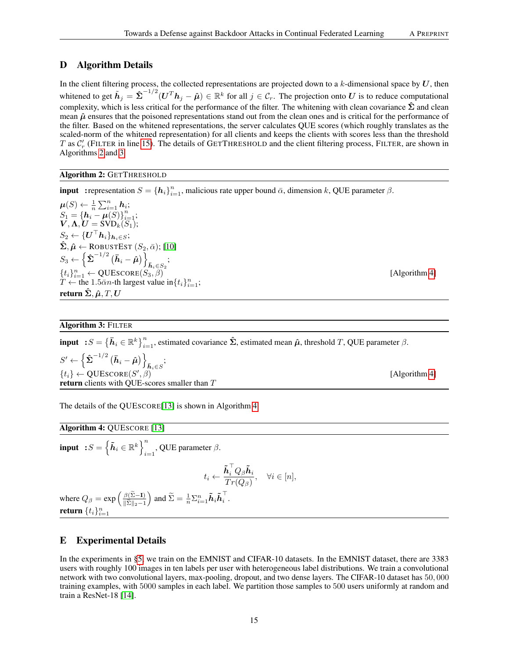# D Algorithm Details

In the client filtering process, the collected representations are projected down to a  $k$ -dimensional space by  $U$ , then whitened to get  $\tilde{h}_j = \hat{\Sigma}^{-1/2} (U^T h_j - \hat{\mu}) \in \mathbb{R}^k$  for all  $j \in \mathcal{C}_r$ . The projection onto  $U$  is to reduce computational complexity, which is less critical for the performance of the filter. The whitening with clean covariance  $\hat{\Sigma}$  and clean mean  $\hat{\mu}$  ensures that the poisoned representations stand out from the clean ones and is critical for the performance of the filter. Based on the whitened representations, the server calculates QUE scores (which roughly translates as the scaled-norm of the whitened representation) for all clients and keeps the clients with scores less than the threshold T as  $C'_r$  (FILTER in line [15\)](#page-5-8). The details of GETTHRESHOLD and the client filtering process, FILTER, are shown in Algorithms [2](#page-14-2) and [3.](#page-14-1)

# Algorithm 2: GETTHRESHOLD

<span id="page-14-2"></span>**input** : representation  $S = \{h_i\}_{i=1}^n$ , malicious rate upper bound  $\bar{\alpha}$ , dimension k, QUE parameter  $\beta$ .

 $\boldsymbol{\mu}(S) \leftarrow \frac{1}{n} \sum_{i=1}^n \boldsymbol{h}_i;$  $S_1 = \{\mathbf{h}_i - \mu(S)\}_{i=1}^n;$  $\boldsymbol{V}, \boldsymbol{\Lambda}, \boldsymbol{U}=\text{SVD}_k(S_1);$  $S_2 \leftarrow \{\boldsymbol{U}^{\top} \boldsymbol{h}_i\}_{\boldsymbol{h}_i \in S};$  $\hat{\Sigma}, \hat{\mu} \leftarrow$  ROBUSTEST  $(S_2, \bar{\alpha})$ ; [\[10\]](#page-9-21)  $S_3 \leftarrow \left\{ \hat{\boldsymbol{\Sigma}}^{-1/2} \left( \bar{\boldsymbol{h}}_i - \hat{\boldsymbol{\mu}} \right) \right\}_{\bar{\boldsymbol{h}}_i \in S_2};$  $\{t_i\}_{i=1}^n \leftarrow \text{QUESCORE}(S_3, \tilde{\beta})$  [Algorithm [4\]](#page-14-3)  $T \leftarrow$  the 1.5 $\bar{\alpha}n$ -th largest value in $\{t_i\}_{i=1}^n$ ; return  $\hat{\Sigma}$ ,  $\hat{\mu}$ ,  $T$ ,  $U$ 

# Algorithm 3: FILTER

<span id="page-14-1"></span>input  $: S = \{\bar{h}_i \in \mathbb{R}^k\}_{i=1}^n$ , estimated covariance  $\hat{\Sigma}$ , estimated mean  $\hat{\mu}$ , threshold T, QUE parameter  $\beta$ .  $S' \leftarrow \left\lbrace \hat{\boldsymbol{\Sigma}}^{-1/2} \left( \bar{\boldsymbol{h}}_i - \hat{\boldsymbol{\mu}} \right) \right\rbrace_{\bar{\boldsymbol{h}}_i \in S};$  $\{t_i\} \leftarrow \text{QUESCORE}(S')$ return clients with QUE-scores smaller than T

The details of the QUESCORE[\[13\]](#page-9-1) is shown in Algorithm [4](#page-14-3)

<span id="page-14-3"></span>input  $: S = \left\{ \tilde{\boldsymbol{h}}_i \in \mathbb{R}^k \right\}^n$  $_{i=1}$ , QUE parameter  $\beta$ .

$$
t_i \leftarrow \frac{\tilde{\pmb{h}}_i^\top Q_\beta \tilde{\pmb{h}}_i}{Tr(Q_\beta)}, \quad \forall i \in [n],
$$

where  $Q_{\beta} = \exp \left( \frac{\beta (\tilde{\Sigma} - I)}{\|\tilde{\Sigma}\|_{2} - 1} \right)$  $\|\Sigma\|_2-1$  $\Big)$  and  $\widetilde{\Sigma} = \frac{1}{n}\Sigma_{i=1}^n \tilde{\boldsymbol{h}}_i \tilde{\boldsymbol{h}}_i^\top$  $\frac{1}{i}$ . return  $\{t_i\}_{i=1}^n$ 

# <span id="page-14-0"></span>E Experimental Details

Algorithm 4: QUESCORE [\[13\]](#page-9-1)

In the experiments in [§5,](#page-6-0) we train on the EMNIST and CIFAR-10 datasets. In the EMNIST dataset, there are 3383 users with roughly 100 images in ten labels per user with heterogeneous label distributions. We train a convolutional network with two convolutional layers, max-pooling, dropout, and two dense layers. The CIFAR-10 dataset has 50, 000 training examples, with 5000 samples in each label. We partition those samples to 500 users uniformly at random and train a ResNet-18 [\[14\]](#page-9-22).

[Algorithm [4\]](#page-14-3)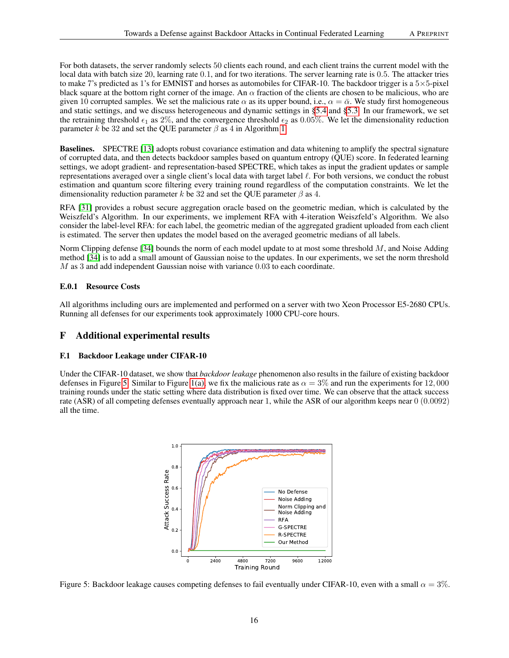For both datasets, the server randomly selects 50 clients each round, and each client trains the current model with the local data with batch size 20, learning rate 0.1, and for two iterations. The server learning rate is 0.5. The attacker tries to make 7's predicted as 1's for EMNIST and horses as automobiles for CIFAR-10. The backdoor trigger is a  $5\times5$ -pixel black square at the bottom right corner of the image. An  $\alpha$  fraction of the clients are chosen to be malicious, who are given 10 corrupted samples. We set the malicious rate  $\alpha$  as its upper bound, i.e.,  $\alpha = \overline{\alpha}$ . We study first homogeneous and static settings, and we discuss heterogeneous and dynamic settings in [§5.4](#page-7-3) and [§5.3.](#page-7-0) In our framework, we set the retraining threshold  $\epsilon_1$  as 2%, and the convergence threshold  $\epsilon_2$  as 0.05%. We let the dimensionality reduction parameter k be 32 and set the QUE parameter  $\beta$  as 4 in Algorithm [1.](#page-5-1)

Baselines. SPECTRE [\[13\]](#page-9-1) adopts robust covariance estimation and data whitening to amplify the spectral signature of corrupted data, and then detects backdoor samples based on quantum entropy (QUE) score. In federated learning settings, we adopt gradient- and representation-based SPECTRE, which takes as input the gradient updates or sample representations averaged over a single client's local data with target label  $\ell$ . For both versions, we conduct the robust estimation and quantum score filtering every training round regardless of the computation constraints. We let the dimensionality reduction parameter k be 32 and set the QUE parameter  $\beta$  as 4.

RFA [\[31\]](#page-9-2) provides a robust secure aggregation oracle based on the geometric median, which is calculated by the Weiszfeld's Algorithm. In our experiments, we implement RFA with 4-iteration Weiszfeld's Algorithm. We also consider the label-level RFA: for each label, the geometric median of the aggregated gradient uploaded from each client is estimated. The server then updates the model based on the averaged geometric medians of all labels.

Norm Clipping defense [\[34\]](#page-10-4) bounds the norm of each model update to at most some threshold M, and Noise Adding method [\[34\]](#page-10-4) is to add a small amount of Gaussian noise to the updates. In our experiments, we set the norm threshold M as 3 and add independent Gaussian noise with variance 0.03 to each coordinate.

## E.0.1 Resource Costs

All algorithms including ours are implemented and performed on a server with two Xeon Processor E5-2680 CPUs. Running all defenses for our experiments took approximately 1000 CPU-core hours.

# F Additional experimental results

## F.1 Backdoor Leakage under CIFAR-10

Under the CIFAR-10 dataset, we show that *backdoor leakage* phenomenon also results in the failure of existing backdoor defenses in Figure [5.](#page-15-1) Similar to Figure [1\(a\),](#page-3-2) we fix the malicious rate as  $\alpha = 3\%$  and run the experiments for 12,000 training rounds under the static setting where data distribution is fixed over time. We can observe that the attack success rate (ASR) of all competing defenses eventually approach near 1, while the ASR of our algorithm keeps near 0 (0.0092) all the time.



<span id="page-15-1"></span><span id="page-15-0"></span>Figure 5: Backdoor leakage causes competing defenses to fail eventually under CIFAR-10, even with a small  $\alpha = 3\%$ .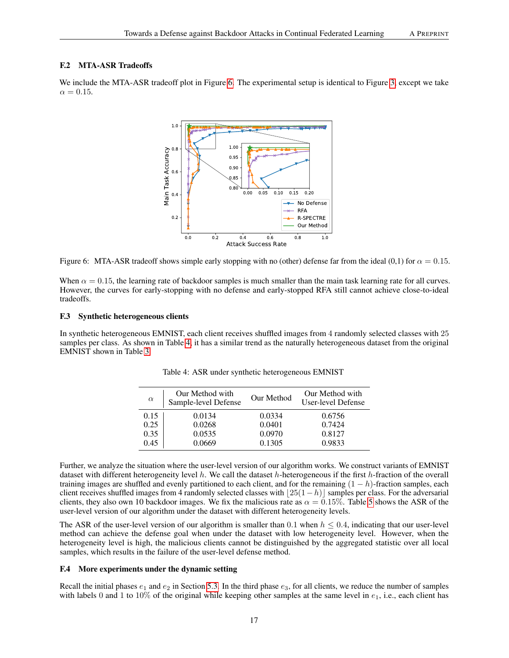#### F.2 MTA-ASR Tradeoffs

We include the MTA-ASR tradeoff plot in Figure [6.](#page-16-2) The experimental setup is identical to Figure [3,](#page-7-1) except we take  $\alpha = 0.15$ .



<span id="page-16-2"></span>Figure 6: MTA-ASR tradeoff shows simple early stopping with no (other) defense far from the ideal (0,1) for  $\alpha = 0.15$ .

When  $\alpha = 0.15$ , the learning rate of backdoor samples is much smaller than the main task learning rate for all curves. However, the curves for early-stopping with no defense and early-stopped RFA still cannot achieve close-to-ideal tradeoffs.

#### <span id="page-16-1"></span>F.3 Synthetic heterogeneous clients

In synthetic heterogeneous EMNIST, each client receives shuffled images from 4 randomly selected classes with 25 samples per class. As shown in Table [4,](#page-16-3) it has a similar trend as the naturally heterogeneous dataset from the original EMNIST shown in Table [3.](#page-8-3)

| $\alpha$ | Our Method with<br>Sample-level Defense | Our Method | Our Method with<br>User-level Defense |
|----------|-----------------------------------------|------------|---------------------------------------|
| 0.15     | 0.0134                                  | 0.0334     | 0.6756                                |
| 0.25     | 0.0268                                  | 0.0401     | 0.7424                                |
| 0.35     | 0.0535                                  | 0.0970     | 0.8127                                |
| 0.45     | 0.0669                                  | 0.1305     | 0.9833                                |

<span id="page-16-3"></span>Table 4: ASR under synthetic heterogeneous EMNIST

Further, we analyze the situation where the user-level version of our algorithm works. We construct variants of EMNIST dataset with different heterogeneity level  $h$ . We call the dataset  $h$ -heterogeneous if the first  $h$ -fraction of the overall training images are shuffled and evenly partitioned to each client, and for the remaining  $(1 - h)$ -fraction samples, each client receives shuffled images from 4 randomly selected classes with  $|25(1-h)|$  samples per class. For the adversarial clients, they also own 10 backdoor images. We fix the malicious rate as  $\alpha = 0.15\%$ . Table [5](#page-17-0) shows the ASR of the user-level version of our algorithm under the dataset with different heterogeneity levels.

The ASR of the user-level version of our algorithm is smaller than 0.1 when  $h \le 0.4$ , indicating that our user-level method can achieve the defense goal when under the dataset with low heterogeneity level. However, when the heterogeneity level is high, the malicious clients cannot be distinguished by the aggregated statistic over all local samples, which results in the failure of the user-level defense method.

## <span id="page-16-0"></span>F.4 More experiments under the dynamic setting

Recall the initial phases  $e_1$  and  $e_2$  in Section [5.3.](#page-7-0) In the third phase  $e_3$ , for all clients, we reduce the number of samples with labels 0 and 1 to 10% of the original while keeping other samples at the same level in  $e_1$ , i.e., each client has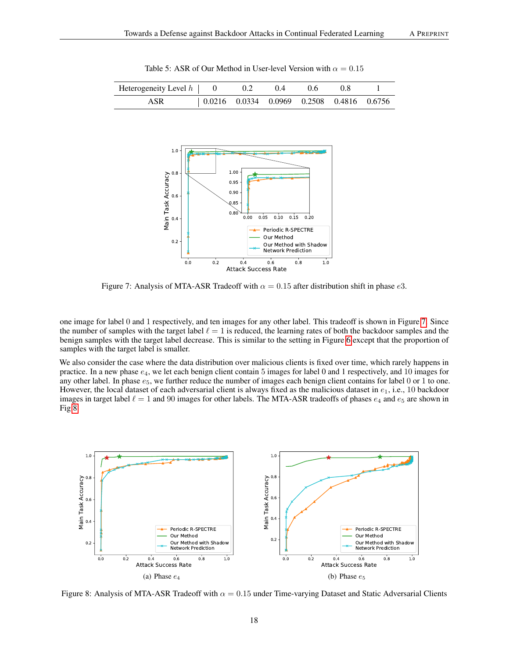| Heterogeneity Level $h$   0 | 0.2 | (0.4)                                                                           | $0.6^{\circ}$ | 0 X |  |
|-----------------------------|-----|---------------------------------------------------------------------------------|---------------|-----|--|
| ASR                         |     | $\vert 0.0216 \quad 0.0334 \quad 0.0969 \quad 0.2508 \quad 0.4816 \quad 0.6756$ |               |     |  |

<span id="page-17-0"></span>Table 5: ASR of Our Method in User-level Version with  $\alpha = 0.15$ 



<span id="page-17-1"></span>Figure 7: Analysis of MTA-ASR Tradeoff with  $\alpha = 0.15$  after distribution shift in phase e3.

one image for label 0 and 1 respectively, and ten images for any other label. This tradeoff is shown in Figure [7.](#page-17-1) Since the number of samples with the target label  $\ell = 1$  is reduced, the learning rates of both the backdoor samples and the benign samples with the target label decrease. This is similar to the setting in Figure [6](#page-16-2) except that the proportion of samples with the target label is smaller.

We also consider the case where the data distribution over malicious clients is fixed over time, which rarely happens in practice. In a new phase  $e_4$ , we let each benign client contain 5 images for label 0 and 1 respectively, and 10 images for any other label. In phase  $e_5$ , we further reduce the number of images each benign client contains for label 0 or 1 to one. However, the local dataset of each adversarial client is always fixed as the malicious dataset in  $e_1$ , i.e., 10 backdoor images in target label  $\ell = 1$  and 90 images for other labels. The MTA-ASR tradeoffs of phases  $e_4$  and  $e_5$  are shown in Fig[.8](#page-17-2)



<span id="page-17-2"></span>Figure 8: Analysis of MTA-ASR Tradeoff with  $\alpha = 0.15$  under Time-varying Dataset and Static Adversarial Clients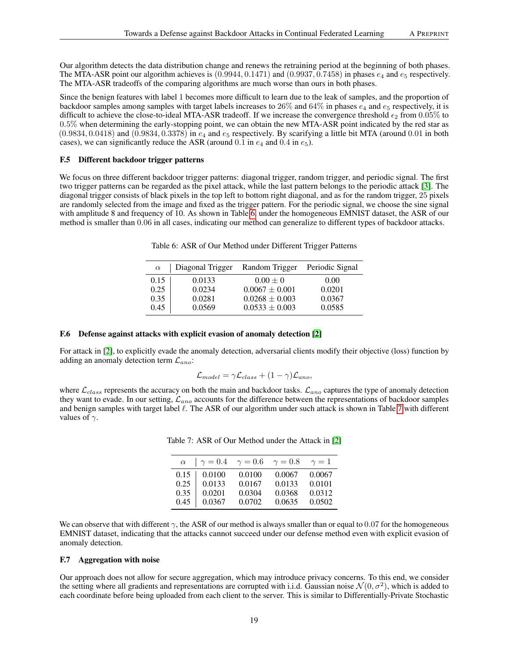Our algorithm detects the data distribution change and renews the retraining period at the beginning of both phases. The MTA-ASR point our algorithm achieves is  $(0.9944, 0.1471)$  and  $(0.9937, 0.7458)$  in phases  $e_4$  and  $e_5$  respectively. The MTA-ASR tradeoffs of the comparing algorithms are much worse than ours in both phases.

Since the benign features with label 1 becomes more difficult to learn due to the leak of samples, and the proportion of backdoor samples among samples with target labels increases to  $26\%$  and  $64\%$  in phases  $e_4$  and  $e_5$  respectively, it is difficult to achieve the close-to-ideal MTA-ASR tradeoff. If we increase the convergence threshold  $\epsilon_2$  from 0.05% to 0.5% when determining the early-stopping point, we can obtain the new MTA-ASR point indicated by the red star as  $(0.9834, 0.0418)$  and  $(0.9834, 0.3378)$  in  $e_4$  and  $e_5$  respectively. By scarifying a little bit MTA (around 0.01 in both cases), we can significantly reduce the ASR (around 0.1 in  $e_4$  and 0.4 in  $e_5$ ).

## <span id="page-18-0"></span>F.5 Different backdoor trigger patterns

We focus on three different backdoor trigger patterns: diagonal trigger, random trigger, and periodic signal. The first two trigger patterns can be regarded as the pixel attack, while the last pattern belongs to the periodic attack [\[3\]](#page-8-8). The diagonal trigger consists of black pixels in the top left to bottom right diagonal, and as for the random trigger, 25 pixels are randomly selected from the image and fixed as the trigger pattern. For the periodic signal, we choose the sine signal with amplitude 8 and frequency of 10. As shown in Table [6,](#page-18-2) under the homogeneous EMNIST dataset, the ASR of our method is smaller than 0.06 in all cases, indicating our method can generalize to different types of backdoor attacks.

<span id="page-18-2"></span>Table 6: ASR of Our Method under Different Trigger Patterns

| $\alpha$ | Diagonal Trigger | Random Trigger     | Periodic Signal |
|----------|------------------|--------------------|-----------------|
| 0.15     | 0.0133           | $0.00 \pm 0$       | 0.00            |
| 0.25     | 0.0234           | $0.0067 \pm 0.001$ | 0.0201          |
| 0.35     | 0.0281           | $0.0268 \pm 0.003$ | 0.0367          |
| 0.45     | 0.0569           | $0.0533 \pm 0.003$ | 0.0585          |

## <span id="page-18-1"></span>F.6 Defense against attacks with explicit evasion of anomaly detection [\[2\]](#page-8-5)

For attack in [\[2\]](#page-8-5), to explicitly evade the anomaly detection, adversarial clients modify their objective (loss) function by adding an anomaly detection term  $\mathcal{L}_{ano}$ :

$$
\mathcal{L}_{model} = \gamma \mathcal{L}_{class} + (1 - \gamma) \mathcal{L}_{ano},
$$

where  $\mathcal{L}_{class}$  represents the accuracy on both the main and backdoor tasks.  $\mathcal{L}_{ano}$  captures the type of anomaly detection they want to evade. In our setting,  $\mathcal{L}_{ano}$  accounts for the difference between the representations of backdoor samples and benign samples with target label  $\ell$ . The ASR of our algorithm under such attack is shown in Table [7](#page-18-3) with different values of  $\gamma$ .

<span id="page-18-3"></span>Table 7: ASR of Our Method under the Attack in [\[2\]](#page-8-5)

| $\alpha$ | $\gamma = 0.4$ | $\gamma=0.6$ | $\gamma=0.8$ | $\gamma=1$ |
|----------|----------------|--------------|--------------|------------|
| 0.15     | 0.0100         | 0.0100       | 0.0067       | 0.0067     |
| 0.25     | 0.0133         | 0.0167       | 0.0133       | 0.0101     |
| 0.35     | 0.0201         | 0.0304       | 0.0368       | 0.0312     |
| 0.45     | 0.0367         | 0.0702       | 0.0635       | 0.0502     |

We can observe that with different  $\gamma$ , the ASR of our method is always smaller than or equal to 0.07 for the homogeneous EMNIST dataset, indicating that the attacks cannot succeed under our defense method even with explicit evasion of anomaly detection.

# F.7 Aggregation with noise

Our approach does not allow for secure aggregation, which may introduce privacy concerns. To this end, we consider the setting where all gradients and representations are corrupted with i.i.d. Gaussian noise  $\mathcal{N}(0, \sigma^2)$ , which is added to each coordinate before being uploaded from each client to the server. This is similar to Differentially-Private Stochastic